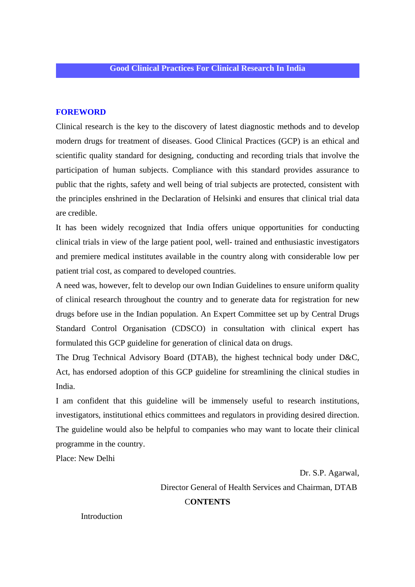### **FOREWORD**

Clinical research is the key to the discovery of latest diagnostic methods and to develop modern drugs for treatment of diseases. Good Clinical Practices (GCP) is an ethical and scientific quality standard for designing, conducting and recording trials that involve the participation of human subjects. Compliance with this standard provides assurance to public that the rights, safety and well being of trial subjects are protected, consistent with the principles enshrined in the Declaration of Helsinki and ensures that clinical trial data are credible.

It has been widely recognized that India offers unique opportunities for conducting clinical trials in view of the large patient pool, well- trained and enthusiastic investigators and premiere medical institutes available in the country along with considerable low per patient trial cost, as compared to developed countries.

A need was, however, felt to develop our own Indian Guidelines to ensure uniform quality of clinical research throughout the country and to generate data for registration for new drugs before use in the Indian population. An Expert Committee set up by Central Drugs Standard Control Organisation (CDSCO) in consultation with clinical expert has formulated this GCP guideline for generation of clinical data on drugs.

The Drug Technical Advisory Board (DTAB), the highest technical body under D&C, Act, has endorsed adoption of this GCP guideline for streamlining the clinical studies in India.

I am confident that this guideline will be immensely useful to research institutions, investigators, institutional ethics committees and regulators in providing desired direction. The guideline would also be helpful to companies who may want to locate their clinical programme in the country.

Place: New Delhi

 Dr. S.P. Agarwal, Director General of Health Services and Chairman, DTAB C**ONTENTS**

**Introduction**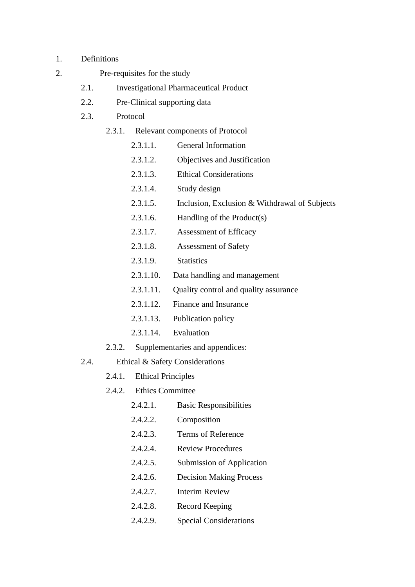- 1. Definitions
- 2. Pre-requisites for the study
	- 2.1. Investigational Pharmaceutical Product
	- 2.2. Pre-Clinical supporting data
	- 2.3. Protocol
		- 2.3.1. Relevant components of Protocol
			- 2.3.1.1. General Information
			- 2.3.1.2. Objectives and Justification
			- 2.3.1.3. Ethical Considerations
			- 2.3.1.4. Study design
			- 2.3.1.5. Inclusion, Exclusion & Withdrawal of Subjects
			- 2.3.1.6. Handling of the Product(s)
			- 2.3.1.7. Assessment of Efficacy
			- 2.3.1.8. Assessment of Safety
			- 2.3.1.9. Statistics
			- 2.3.1.10. Data handling and management
			- 2.3.1.11. Quality control and quality assurance
			- 2.3.1.12. Finance and Insurance
			- 2.3.1.13. Publication policy
			- 2.3.1.14 Evaluation
		- 2.3.2. Supplementaries and appendices:
	- 2.4. Ethical & Safety Considerations
		- 2.4.1. Ethical Principles
		- 2.4.2. Ethics Committee
			- 2.4.2.1. Basic Responsibilities
			- 2.4.2.2. Composition
			- 2.4.2.3. Terms of Reference
			- 2.4.2.4. Review Procedures
			- 2.4.2.5. Submission of Application
			- 2.4.2.6. Decision Making Process
			- 2.4.2.7. Interim Review
			- 2.4.2.8. Record Keeping
			- 2.4.2.9. Special Considerations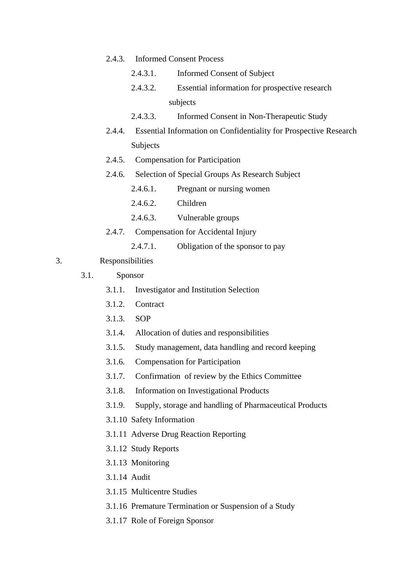### 2.4.3. Informed Consent Process

- 2.4.3.1. Informed Consent of Subject
- 2.4.3.2. Essential information for prospective research subjects
- 2.4.3.3. Informed Consent in Non-Therapeutic Study
- 2.4.4. Essential Information on Confidentiality for Prospective Research Subjects
- 2.4.5. Compensation for Participation
- 2.4.6. Selection of Special Groups As Research Subject
	- 2.4.6.1. Pregnant or nursing women
	- 2.4.6.2. Children
	- 2.4.6.3. Vulnerable groups
- 2.4.7. Compensation for Accidental Injury
	- 2.4.7.1. Obligation of the sponsor to pay

### 3. Responsibilities

- 3.1. Sponsor
	- 3.1.1. Investigator and Institution Selection
	- 3.1.2. Contract
	- 3.1.3. SOP
	- 3.1.4. Allocation of duties and responsibilities
	- 3.1.5. Study management, data handling and record keeping
	- 3.1.6. Compensation for Participation
	- 3.1.7. Confirmation of review by the Ethics Committee
	- 3.1.8. Information on Investigational Products
	- 3.1.9. Supply, storage and handling of Pharmaceutical Products
	- 3.1.10 Safety Information
	- 3.1.11 Adverse Drug Reaction Reporting
	- 3.1.12 Study Reports
	- 3.1.13 Monitoring
	- 3.1.14 Audit
	- 3.1.15 Multicentre Studies
	- 3.1.16 Premature Termination or Suspension of a Study
	- 3.1.17 Role of Foreign Sponsor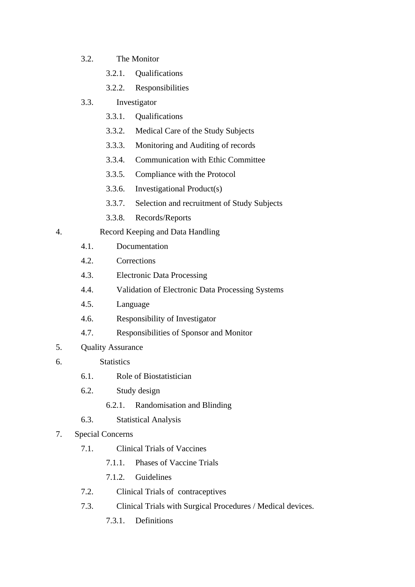- 3.2. The Monitor
	- 3.2.1. Qualifications
	- 3.2.2. Responsibilities
- 3.3. Investigator
	- 3.3.1. Qualifications
	- 3.3.2. Medical Care of the Study Subjects
	- 3.3.3. Monitoring and Auditing of records
	- 3.3.4. Communication with Ethic Committee
	- 3.3.5. Compliance with the Protocol
	- 3.3.6. Investigational Product(s)
	- 3.3.7. Selection and recruitment of Study Subjects
	- 3.3.8. Records/Reports
- 4. Record Keeping and Data Handling
	- 4.1. Documentation
	- 4.2. Corrections
	- 4.3. Electronic Data Processing
	- 4.4. Validation of Electronic Data Processing Systems
	- 4.5. Language
	- 4.6. Responsibility of Investigator
	- 4.7. Responsibilities of Sponsor and Monitor
- 5. Quality Assurance
- 6. Statistics
	- 6.1. Role of Biostatistician
	- 6.2. Study design
		- 6.2.1. Randomisation and Blinding
	- 6.3. Statistical Analysis
- 7. Special Concerns
	- 7.1. Clinical Trials of Vaccines
		- 7.1.1. Phases of Vaccine Trials
		- 7.1.2. Guidelines
	- 7.2. Clinical Trials of contraceptives
	- 7.3. Clinical Trials with Surgical Procedures / Medical devices.
		- 7.3.1. Definitions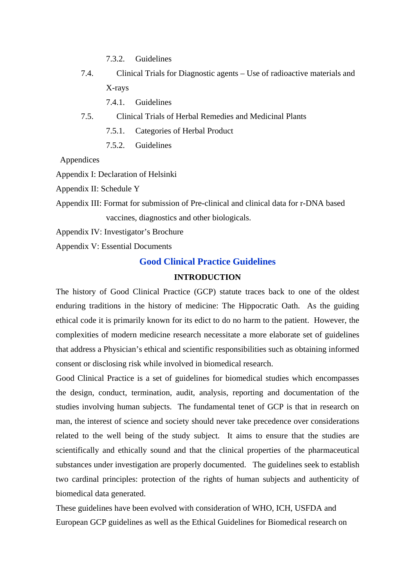- 7.3.2. Guidelines
- 7.4. Clinical Trials for Diagnostic agents Use of radioactive materials and X-rays
	- 7.4.1. Guidelines
- 7.5. Clinical Trials of Herbal Remedies and Medicinal Plants
	- 7.5.1. Categories of Herbal Product
	- 7.5.2. Guidelines

Appendices

Appendix I: Declaration of Helsinki

Appendix II: Schedule Y

Appendix III: Format for submission of Pre-clinical and clinical data for r-DNA based vaccines, diagnostics and other biologicals.

Appendix IV: Investigator's Brochure

Appendix V: Essential Documents

### **Good Clinical Practice Guidelines**

#### **INTRODUCTION**

The history of Good Clinical Practice (GCP) statute traces back to one of the oldest enduring traditions in the history of medicine: The Hippocratic Oath. As the guiding ethical code it is primarily known for its edict to do no harm to the patient. However, the complexities of modern medicine research necessitate a more elaborate set of guidelines that address a Physician's ethical and scientific responsibilities such as obtaining informed consent or disclosing risk while involved in biomedical research.

Good Clinical Practice is a set of guidelines for biomedical studies which encompasses the design, conduct, termination, audit, analysis, reporting and documentation of the studies involving human subjects. The fundamental tenet of GCP is that in research on man, the interest of science and society should never take precedence over considerations related to the well being of the study subject. It aims to ensure that the studies are scientifically and ethically sound and that the clinical properties of the pharmaceutical substances under investigation are properly documented. The guidelines seek to establish two cardinal principles: protection of the rights of human subjects and authenticity of biomedical data generated.

These guidelines have been evolved with consideration of WHO, ICH, USFDA and European GCP guidelines as well as the Ethical Guidelines for Biomedical research on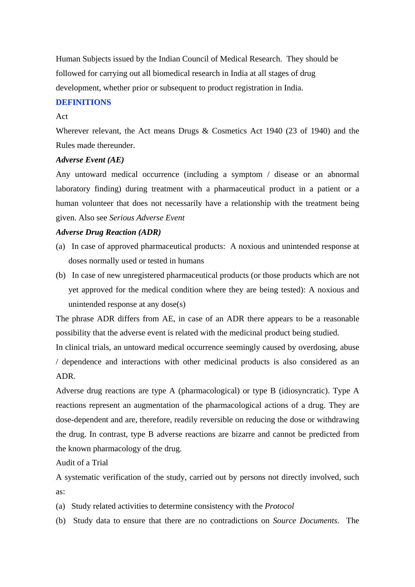Human Subjects issued by the Indian Council of Medical Research. They should be followed for carrying out all biomedical research in India at all stages of drug development, whether prior or subsequent to product registration in India.

### **DEFINITIONS**

#### Act

Wherever relevant, the Act means Drugs & Cosmetics Act 1940 (23 of 1940) and the Rules made thereunder.

#### *Adverse Event (AE)*

Any untoward medical occurrence (including a symptom / disease or an abnormal laboratory finding) during treatment with a pharmaceutical product in a patient or a human volunteer that does not necessarily have a relationship with the treatment being given. Also see *Serious Adverse Event*

### *Adverse Drug Reaction (ADR)*

- (a) In case of approved pharmaceutical products: A noxious and unintended response at doses normally used or tested in humans
- (b) In case of new unregistered pharmaceutical products (or those products which are not yet approved for the medical condition where they are being tested): A noxious and unintended response at any dose(s)

The phrase ADR differs from AE, in case of an ADR there appears to be a reasonable possibility that the adverse event is related with the medicinal product being studied.

In clinical trials, an untoward medical occurrence seemingly caused by overdosing, abuse / dependence and interactions with other medicinal products is also considered as an ADR.

Adverse drug reactions are type A (pharmacological) or type B (idiosyncratic). Type A reactions represent an augmentation of the pharmacological actions of a drug. They are dose-dependent and are, therefore, readily reversible on reducing the dose or withdrawing the drug. In contrast, type B adverse reactions are bizarre and cannot be predicted from the known pharmacology of the drug.

Audit of a Trial

A systematic verification of the study, carried out by persons not directly involved, such as:

- (a) Study related activities to determine consistency with the *Protocol*
- (b) Study data to ensure that there are no contradictions on *Source Documents*. The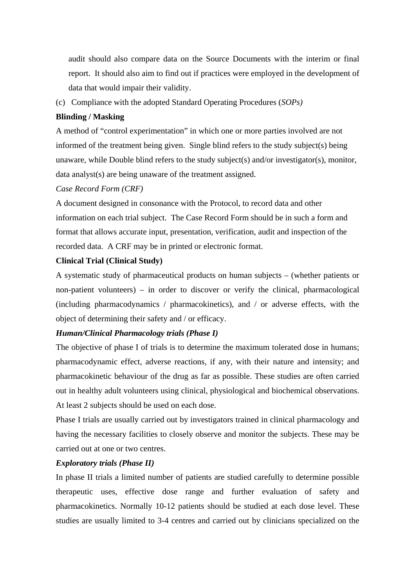audit should also compare data on the Source Documents with the interim or final report. It should also aim to find out if practices were employed in the development of data that would impair their validity.

(c) Compliance with the adopted Standard Operating Procedures (*SOPs)*

### **Blinding / Masking**

A method of "control experimentation" in which one or more parties involved are not informed of the treatment being given. Single blind refers to the study subject(s) being unaware, while Double blind refers to the study subject(s) and/or investigator(s), monitor, data analyst(s) are being unaware of the treatment assigned.

# *Case Record Form (CRF)*

A document designed in consonance with the Protocol, to record data and other information on each trial subject. The Case Record Form should be in such a form and format that allows accurate input, presentation, verification, audit and inspection of the recorded data. A CRF may be in printed or electronic format.

# **Clinical Trial (Clinical Study)**

A systematic study of pharmaceutical products on human subjects – (whether patients or non-patient volunteers) – in order to discover or verify the clinical, pharmacological (including pharmacodynamics / pharmacokinetics), and / or adverse effects, with the object of determining their safety and / or efficacy.

# *Human/Clinical Pharmacology trials (Phase I)*

The objective of phase I of trials is to determine the maximum tolerated dose in humans; pharmacodynamic effect, adverse reactions, if any, with their nature and intensity; and pharmacokinetic behaviour of the drug as far as possible. These studies are often carried out in healthy adult volunteers using clinical, physiological and biochemical observations. At least 2 subjects should be used on each dose.

Phase I trials are usually carried out by investigators trained in clinical pharmacology and having the necessary facilities to closely observe and monitor the subjects. These may be carried out at one or two centres.

### *Exploratory trials (Phase II)*

In phase II trials a limited number of patients are studied carefully to determine possible therapeutic uses, effective dose range and further evaluation of safety and pharmacokinetics. Normally 10-12 patients should be studied at each dose level. These studies are usually limited to 3-4 centres and carried out by clinicians specialized on the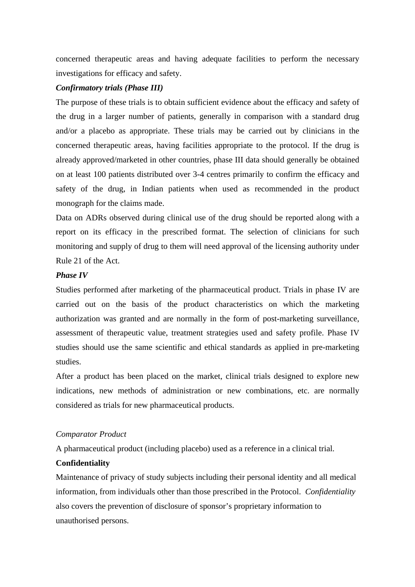concerned therapeutic areas and having adequate facilities to perform the necessary investigations for efficacy and safety.

# *Confirmatory trials (Phase III)*

The purpose of these trials is to obtain sufficient evidence about the efficacy and safety of the drug in a larger number of patients, generally in comparison with a standard drug and/or a placebo as appropriate. These trials may be carried out by clinicians in the concerned therapeutic areas, having facilities appropriate to the protocol. If the drug is already approved/marketed in other countries, phase III data should generally be obtained on at least 100 patients distributed over 3-4 centres primarily to confirm the efficacy and safety of the drug, in Indian patients when used as recommended in the product monograph for the claims made.

Data on ADRs observed during clinical use of the drug should be reported along with a report on its efficacy in the prescribed format. The selection of clinicians for such monitoring and supply of drug to them will need approval of the licensing authority under Rule 21 of the Act.

### *Phase IV*

Studies performed after marketing of the pharmaceutical product. Trials in phase IV are carried out on the basis of the product characteristics on which the marketing authorization was granted and are normally in the form of post-marketing surveillance, assessment of therapeutic value, treatment strategies used and safety profile. Phase IV studies should use the same scientific and ethical standards as applied in pre-marketing studies.

After a product has been placed on the market, clinical trials designed to explore new indications, new methods of administration or new combinations, etc. are normally considered as trials for new pharmaceutical products.

### *Comparator Product*

A pharmaceutical product (including placebo) used as a reference in a clinical trial.

### **Confidentiality**

Maintenance of privacy of study subjects including their personal identity and all medical information, from individuals other than those prescribed in the Protocol. *Confidentiality* also covers the prevention of disclosure of sponsor's proprietary information to unauthorised persons.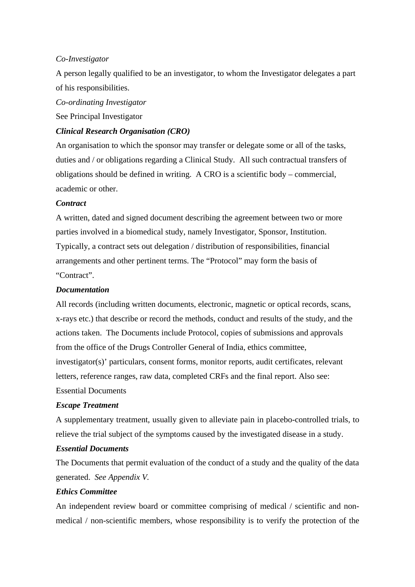### *Co-Investigator*

A person legally qualified to be an investigator, to whom the Investigator delegates a part of his responsibilities.

*Co-ordinating Investigator* 

See Principal Investigator

### *Clinical Research Organisation (CRO)*

An organisation to which the sponsor may transfer or delegate some or all of the tasks, duties and / or obligations regarding a Clinical Study. All such contractual transfers of obligations should be defined in writing. A CRO is a scientific body – commercial, academic or other.

### *Contract*

A written, dated and signed document describing the agreement between two or more parties involved in a biomedical study, namely Investigator, Sponsor, Institution. Typically, a contract sets out delegation / distribution of responsibilities, financial arrangements and other pertinent terms. The "Protocol" may form the basis of "Contract".

### *Documentation*

All records (including written documents, electronic, magnetic or optical records, scans, x-rays etc.) that describe or record the methods, conduct and results of the study, and the actions taken. The Documents include Protocol, copies of submissions and approvals from the office of the Drugs Controller General of India, ethics committee, investigator(s)' particulars, consent forms, monitor reports, audit certificates, relevant letters, reference ranges, raw data, completed CRFs and the final report. Also see: Essential Documents

#### *Escape Treatment*

A supplementary treatment, usually given to alleviate pain in placebo-controlled trials, to relieve the trial subject of the symptoms caused by the investigated disease in a study.

#### *Essential Documents*

The Documents that permit evaluation of the conduct of a study and the quality of the data generated. *See Appendix V.*

### *Ethics Committee*

An independent review board or committee comprising of medical / scientific and nonmedical / non-scientific members, whose responsibility is to verify the protection of the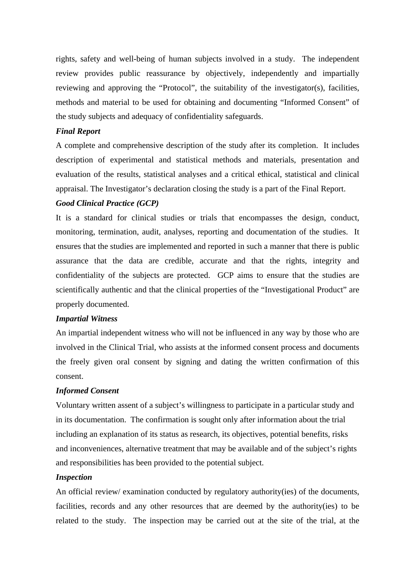rights, safety and well-being of human subjects involved in a study. The independent review provides public reassurance by objectively, independently and impartially reviewing and approving the "Protocol", the suitability of the investigator(s), facilities, methods and material to be used for obtaining and documenting "Informed Consent" of the study subjects and adequacy of confidentiality safeguards.

#### *Final Report*

A complete and comprehensive description of the study after its completion. It includes description of experimental and statistical methods and materials, presentation and evaluation of the results, statistical analyses and a critical ethical, statistical and clinical appraisal. The Investigator's declaration closing the study is a part of the Final Report.

### *Good Clinical Practice (GCP)*

It is a standard for clinical studies or trials that encompasses the design, conduct, monitoring, termination, audit, analyses, reporting and documentation of the studies. It ensures that the studies are implemented and reported in such a manner that there is public assurance that the data are credible, accurate and that the rights, integrity and confidentiality of the subjects are protected. GCP aims to ensure that the studies are scientifically authentic and that the clinical properties of the "Investigational Product" are properly documented.

### *Impartial Witness*

An impartial independent witness who will not be influenced in any way by those who are involved in the Clinical Trial, who assists at the informed consent process and documents the freely given oral consent by signing and dating the written confirmation of this consent.

#### *Informed Consent*

Voluntary written assent of a subject's willingness to participate in a particular study and in its documentation. The confirmation is sought only after information about the trial including an explanation of its status as research, its objectives, potential benefits, risks and inconveniences, alternative treatment that may be available and of the subject's rights and responsibilities has been provided to the potential subject.

#### *Inspection*

An official review/ examination conducted by regulatory authority(ies) of the documents, facilities, records and any other resources that are deemed by the authority(ies) to be related to the study. The inspection may be carried out at the site of the trial, at the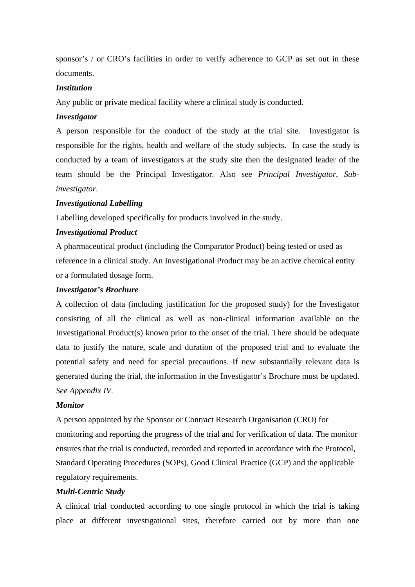sponsor's / or CRO's facilities in order to verify adherence to GCP as set out in these documents.

#### *Institution*

Any public or private medical facility where a clinical study is conducted.

# *Investigator*

A person responsible for the conduct of the study at the trial site. Investigator is responsible for the rights, health and welfare of the study subjects. In case the study is conducted by a team of investigators at the study site then the designated leader of the team should be the Principal Investigator. Also see *Principal Investigator*, *Subinvestigator*.

### *Investigational Labelling*

Labelling developed specifically for products involved in the study.

### *Investigational Product*

A pharmaceutical product (including the Comparator Product) being tested or used as reference in a clinical study. An Investigational Product may be an active chemical entity or a formulated dosage form.

### *Investigator's Brochure*

A collection of data (including justification for the proposed study) for the Investigator consisting of all the clinical as well as non-clinical information available on the Investigational Product(s) known prior to the onset of the trial. There should be adequate data to justify the nature, scale and duration of the proposed trial and to evaluate the potential safety and need for special precautions. If new substantially relevant data is generated during the trial, the information in the Investigator's Brochure must be updated. *See Appendix IV.* 

### *Monitor*

A person appointed by the Sponsor or Contract Research Organisation (CRO) for monitoring and reporting the progress of the trial and for verification of data. The monitor ensures that the trial is conducted, recorded and reported in accordance with the Protocol, Standard Operating Procedures (SOPs), Good Clinical Practice (GCP) and the applicable regulatory requirements.

### *Multi-Centric Study*

A clinical trial conducted according to one single protocol in which the trial is taking place at different investigational sites, therefore carried out by more than one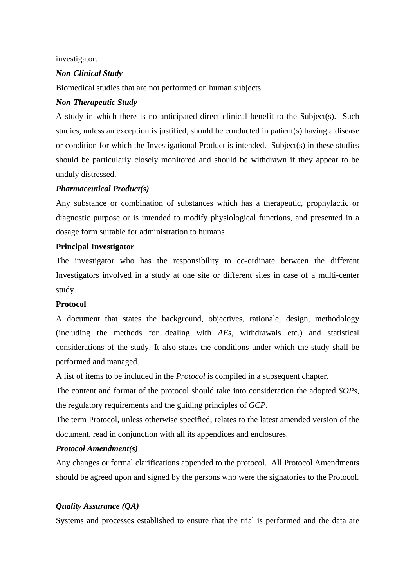investigator.

# *Non-Clinical Study*

Biomedical studies that are not performed on human subjects.

### *Non-Therapeutic Study*

A study in which there is no anticipated direct clinical benefit to the Subject(s). Such studies, unless an exception is justified, should be conducted in patient(s) having a disease or condition for which the Investigational Product is intended. Subject(s) in these studies should be particularly closely monitored and should be withdrawn if they appear to be unduly distressed.

# *Pharmaceutical Product(s)*

Any substance or combination of substances which has a therapeutic, prophylactic or diagnostic purpose or is intended to modify physiological functions, and presented in a dosage form suitable for administration to humans.

### **Principal Investigator**

The investigator who has the responsibility to co-ordinate between the different Investigators involved in a study at one site or different sites in case of a multi-center study.

### **Protocol**

A document that states the background, objectives, rationale, design, methodology (including the methods for dealing with *AEs*, withdrawals etc.) and statistical considerations of the study. It also states the conditions under which the study shall be performed and managed.

A list of items to be included in the *Protocol* is compiled in a subsequent chapter.

The content and format of the protocol should take into consideration the adopted *SOPs,*  the regulatory requirements and the guiding principles of *GCP*.

The term Protocol, unless otherwise specified, relates to the latest amended version of the document, read in conjunction with all its appendices and enclosures.

# *Protocol Amendment(s)*

Any changes or formal clarifications appended to the protocol. All Protocol Amendments should be agreed upon and signed by the persons who were the signatories to the Protocol.

# *Quality Assurance (QA)*

Systems and processes established to ensure that the trial is performed and the data are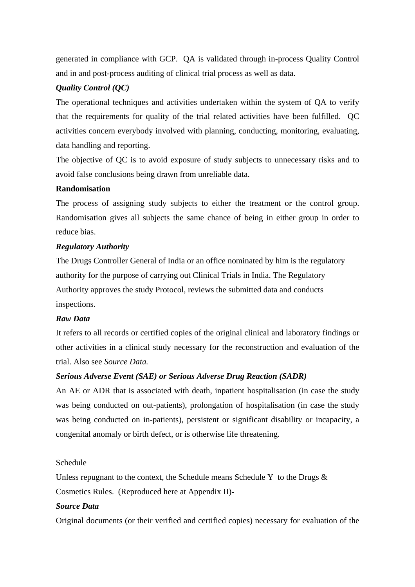generated in compliance with GCP. QA is validated through in-process Quality Control and in and post-process auditing of clinical trial process as well as data.

# *Quality Control (QC)*

The operational techniques and activities undertaken within the system of QA to verify that the requirements for quality of the trial related activities have been fulfilled. QC activities concern everybody involved with planning, conducting, monitoring, evaluating, data handling and reporting.

The objective of QC is to avoid exposure of study subjects to unnecessary risks and to avoid false conclusions being drawn from unreliable data.

### **Randomisation**

The process of assigning study subjects to either the treatment or the control group. Randomisation gives all subjects the same chance of being in either group in order to reduce bias.

### *Regulatory Authority*

The Drugs Controller General of India or an office nominated by him is the regulatory authority for the purpose of carrying out Clinical Trials in India. The Regulatory Authority approves the study Protocol, reviews the submitted data and conducts inspections.

# *Raw Data*

It refers to all records or certified copies of the original clinical and laboratory findings or other activities in a clinical study necessary for the reconstruction and evaluation of the trial. Also see *Source Data.*

### *Serious Adverse Event (SAE) or Serious Adverse Drug Reaction (SADR)*

An AE or ADR that is associated with death, inpatient hospitalisation (in case the study was being conducted on out-patients), prolongation of hospitalisation (in case the study was being conducted on in-patients), persistent or significant disability or incapacity, a congenital anomaly or birth defect, or is otherwise life threatening.

## Schedule

Unless repugnant to the context, the Schedule means Schedule Y to the Drugs  $\&$ Cosmetics Rules. (Reproduced here at Appendix II)

### *Source Data*

Original documents (or their verified and certified copies) necessary for evaluation of the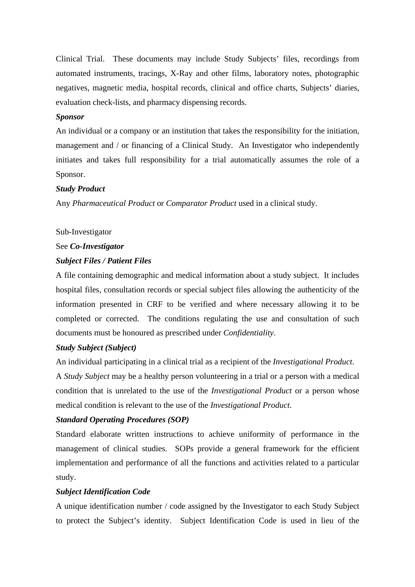Clinical Trial. These documents may include Study Subjects' files, recordings from automated instruments, tracings, X-Ray and other films, laboratory notes, photographic negatives, magnetic media, hospital records, clinical and office charts, Subjects' diaries, evaluation check-lists, and pharmacy dispensing records.

### *Sponsor*

An individual or a company or an institution that takes the responsibility for the initiation, management and / or financing of a Clinical Study. An Investigator who independently initiates and takes full responsibility for a trial automatically assumes the role of a Sponsor.

### *Study Product*

Any *Pharmaceutical Product* or *Comparator Product* used in a clinical study.

### Sub-Investigator

#### See *Co-Investigator*

#### *Subject Files / Patient Files*

A file containing demographic and medical information about a study subject. It includes hospital files, consultation records or special subject files allowing the authenticity of the information presented in CRF to be verified and where necessary allowing it to be completed or corrected. The conditions regulating the use and consultation of such documents must be honoured as prescribed under *Confidentiality*.

# *Study Subject (Subject)*

An individual participating in a clinical trial as a recipient of the *Investigational Product*. A *Study Subject* may be a healthy person volunteering in a trial or a person with a medical condition that is unrelated to the use of the *Investigational Product* or a person whose medical condition is relevant to the use of the *Investigational Product*.

### *Standard Operating Procedures (SOP)*

Standard elaborate written instructions to achieve uniformity of performance in the management of clinical studies. SOPs provide a general framework for the efficient implementation and performance of all the functions and activities related to a particular study.

#### *Subject Identification Code*

A unique identification number / code assigned by the Investigator to each Study Subject to protect the Subject's identity. Subject Identification Code is used in lieu of the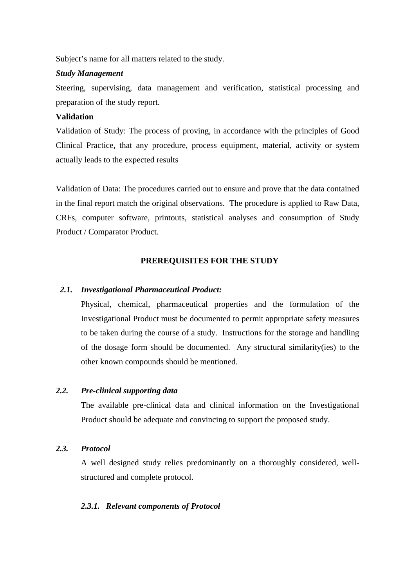Subject's name for all matters related to the study.

### *Study Management*

Steering, supervising, data management and verification, statistical processing and preparation of the study report.

### **Validation**

Validation of Study: The process of proving, in accordance with the principles of Good Clinical Practice, that any procedure, process equipment, material, activity or system actually leads to the expected results

Validation of Data: The procedures carried out to ensure and prove that the data contained in the final report match the original observations. The procedure is applied to Raw Data, CRFs, computer software, printouts, statistical analyses and consumption of Study Product / Comparator Product.

### **PREREQUISITES FOR THE STUDY**

#### *2.1. Investigational Pharmaceutical Product:*

Physical, chemical, pharmaceutical properties and the formulation of the Investigational Product must be documented to permit appropriate safety measures to be taken during the course of a study. Instructions for the storage and handling of the dosage form should be documented. Any structural similarity(ies) to the other known compounds should be mentioned.

### *2.2. Pre-clinical supporting data*

The available pre-clinical data and clinical information on the Investigational Product should be adequate and convincing to support the proposed study.

#### *2.3. Protocol*

A well designed study relies predominantly on a thoroughly considered, wellstructured and complete protocol.

#### *2.3.1. Relevant components of Protocol*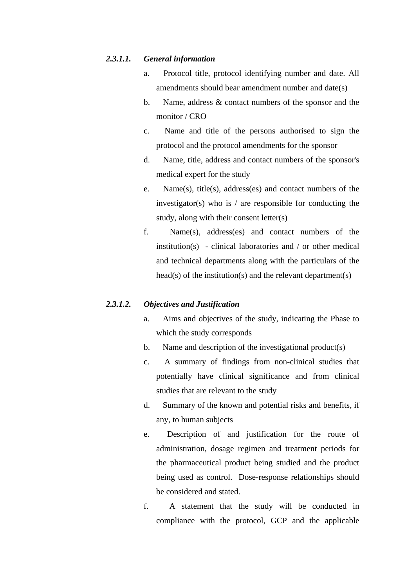### *2.3.1.1. General information*

- a. Protocol title, protocol identifying number and date. All amendments should bear amendment number and date(s)
- b. Name, address & contact numbers of the sponsor and the monitor / CRO
- c. Name and title of the persons authorised to sign the protocol and the protocol amendments for the sponsor
- d. Name, title, address and contact numbers of the sponsor's medical expert for the study
- e. Name(s), title(s), address(es) and contact numbers of the investigator(s) who is  $\ell$  are responsible for conducting the study, along with their consent letter(s)
- f. Name(s), address(es) and contact numbers of the institution(s) - clinical laboratories and / or other medical and technical departments along with the particulars of the head(s) of the institution(s) and the relevant department(s)

# *2.3.1.2. Objectives and Justification*

- a. Aims and objectives of the study, indicating the Phase to which the study corresponds
- b. Name and description of the investigational product(s)
- c. A summary of findings from non-clinical studies that potentially have clinical significance and from clinical studies that are relevant to the study
- d. Summary of the known and potential risks and benefits, if any, to human subjects
- e. Description of and justification for the route of administration, dosage regimen and treatment periods for the pharmaceutical product being studied and the product being used as control. Dose-response relationships should be considered and stated.
- f. A statement that the study will be conducted in compliance with the protocol, GCP and the applicable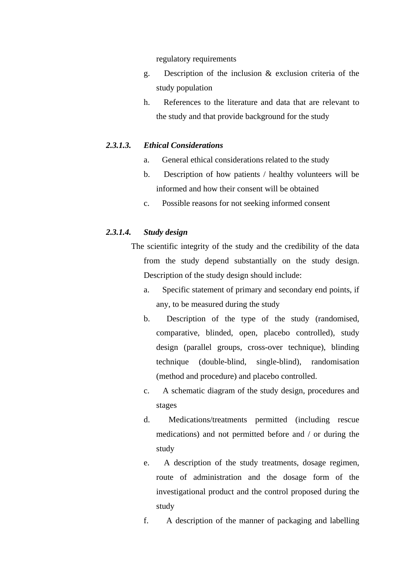regulatory requirements

- g. Description of the inclusion & exclusion criteria of the study population
- h. References to the literature and data that are relevant to the study and that provide background for the study

### *2.3.1.3. Ethical Considerations*

- a. General ethical considerations related to the study
- b. Description of how patients / healthy volunteers will be informed and how their consent will be obtained
- c. Possible reasons for not seeking informed consent

### *2.3.1.4. Study design*

- The scientific integrity of the study and the credibility of the data from the study depend substantially on the study design. Description of the study design should include:
	- a. Specific statement of primary and secondary end points, if any, to be measured during the study
	- b. Description of the type of the study (randomised, comparative, blinded, open, placebo controlled), study design (parallel groups, cross-over technique), blinding technique (double-blind, single-blind), randomisation (method and procedure) and placebo controlled.
	- c. A schematic diagram of the study design, procedures and stages
	- d. Medications/treatments permitted (including rescue medications) and not permitted before and / or during the study
	- e. A description of the study treatments, dosage regimen, route of administration and the dosage form of the investigational product and the control proposed during the study
	- f. A description of the manner of packaging and labelling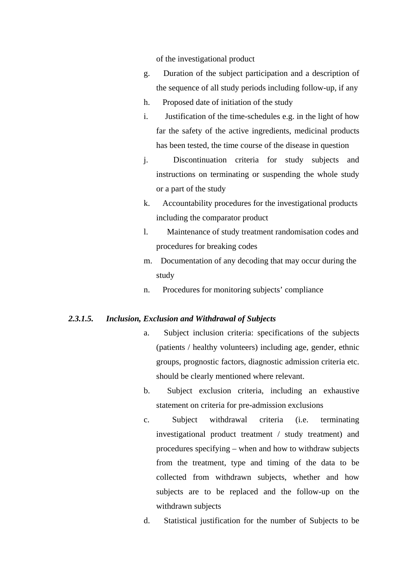of the investigational product

- g. Duration of the subject participation and a description of the sequence of all study periods including follow-up, if any
- h. Proposed date of initiation of the study
- i. Justification of the time-schedules e.g. in the light of how far the safety of the active ingredients, medicinal products has been tested, the time course of the disease in question
- j. Discontinuation criteria for study subjects and instructions on terminating or suspending the whole study or a part of the study
- k. Accountability procedures for the investigational products including the comparator product
- l. Maintenance of study treatment randomisation codes and procedures for breaking codes
- m. Documentation of any decoding that may occur during the study
- n. Procedures for monitoring subjects' compliance

### *2.3.1.5. Inclusion, Exclusion and Withdrawal of Subjects*

- a. Subject inclusion criteria: specifications of the subjects (patients / healthy volunteers) including age, gender, ethnic groups, prognostic factors, diagnostic admission criteria etc. should be clearly mentioned where relevant.
- b. Subject exclusion criteria, including an exhaustive statement on criteria for pre-admission exclusions
- c. Subject withdrawal criteria (i.e. terminating investigational product treatment / study treatment) and procedures specifying – when and how to withdraw subjects from the treatment, type and timing of the data to be collected from withdrawn subjects, whether and how subjects are to be replaced and the follow-up on the withdrawn subjects
- d. Statistical justification for the number of Subjects to be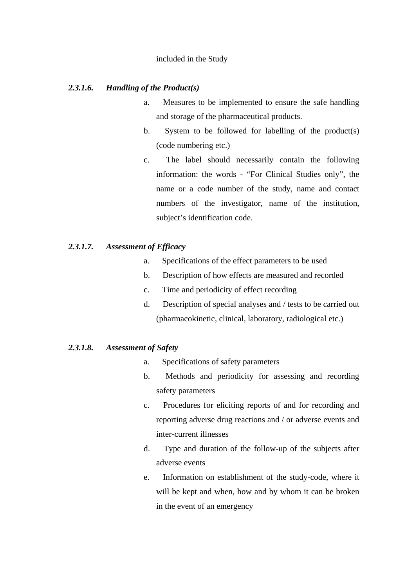### included in the Study

### *2.3.1.6. Handling of the Product(s)*

- a. Measures to be implemented to ensure the safe handling and storage of the pharmaceutical products.
- b. System to be followed for labelling of the product(s) (code numbering etc.)
- c. The label should necessarily contain the following information: the words - "For Clinical Studies only", the name or a code number of the study, name and contact numbers of the investigator, name of the institution, subject's identification code.

### *2.3.1.7. Assessment of Efficacy*

- a. Specifications of the effect parameters to be used
- b. Description of how effects are measured and recorded
- c. Time and periodicity of effect recording
- d. Description of special analyses and / tests to be carried out (pharmacokinetic, clinical, laboratory, radiological etc.)

### *2.3.1.8. Assessment of Safety*

- a. Specifications of safety parameters
- b. Methods and periodicity for assessing and recording safety parameters
- c. Procedures for eliciting reports of and for recording and reporting adverse drug reactions and / or adverse events and inter-current illnesses
- d. Type and duration of the follow-up of the subjects after adverse events
- e. Information on establishment of the study-code, where it will be kept and when, how and by whom it can be broken in the event of an emergency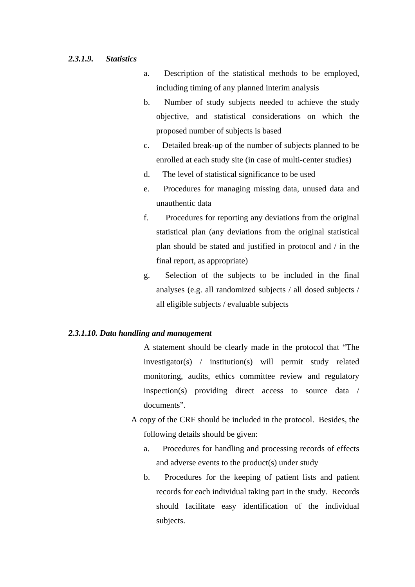### *2.3.1.9. Statistics*

- a. Description of the statistical methods to be employed, including timing of any planned interim analysis
- b. Number of study subjects needed to achieve the study objective, and statistical considerations on which the proposed number of subjects is based
- c. Detailed break-up of the number of subjects planned to be enrolled at each study site (in case of multi-center studies)
- d. The level of statistical significance to be used
- e. Procedures for managing missing data, unused data and unauthentic data
- f. Procedures for reporting any deviations from the original statistical plan (any deviations from the original statistical plan should be stated and justified in protocol and / in the final report, as appropriate)
- g. Selection of the subjects to be included in the final analyses (e.g. all randomized subjects / all dosed subjects / all eligible subjects / evaluable subjects

### *2.3.1.10. Data handling and management*

A statement should be clearly made in the protocol that "The investigator(s) / institution(s) will permit study related monitoring, audits, ethics committee review and regulatory inspection(s) providing direct access to source data / documents".

- A copy of the CRF should be included in the protocol. Besides, the following details should be given:
	- a. Procedures for handling and processing records of effects and adverse events to the product(s) under study
	- b. Procedures for the keeping of patient lists and patient records for each individual taking part in the study. Records should facilitate easy identification of the individual subjects.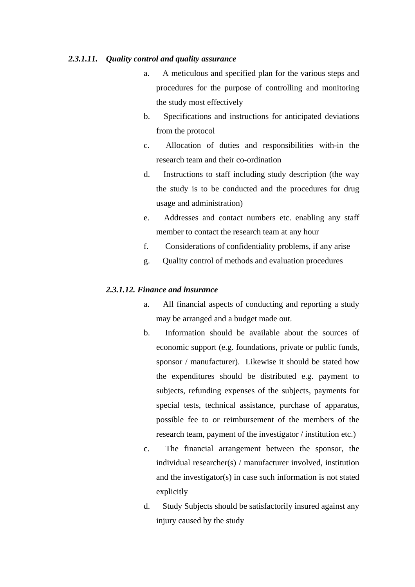#### *2.3.1.11. Quality control and quality assurance*

- a. A meticulous and specified plan for the various steps and procedures for the purpose of controlling and monitoring the study most effectively
- b. Specifications and instructions for anticipated deviations from the protocol
- c. Allocation of duties and responsibilities with-in the research team and their co-ordination
- d. Instructions to staff including study description (the way the study is to be conducted and the procedures for drug usage and administration)
- e. Addresses and contact numbers etc. enabling any staff member to contact the research team at any hour
- f. Considerations of confidentiality problems, if any arise
- g. Quality control of methods and evaluation procedures

### *2.3.1.12. Finance and insurance*

- a. All financial aspects of conducting and reporting a study may be arranged and a budget made out.
- b. Information should be available about the sources of economic support (e.g. foundations, private or public funds, sponsor / manufacturer). Likewise it should be stated how the expenditures should be distributed e.g. payment to subjects, refunding expenses of the subjects, payments for special tests, technical assistance, purchase of apparatus, possible fee to or reimbursement of the members of the research team, payment of the investigator / institution etc.)
- c. The financial arrangement between the sponsor, the individual researcher(s) / manufacturer involved, institution and the investigator(s) in case such information is not stated explicitly
- d. Study Subjects should be satisfactorily insured against any injury caused by the study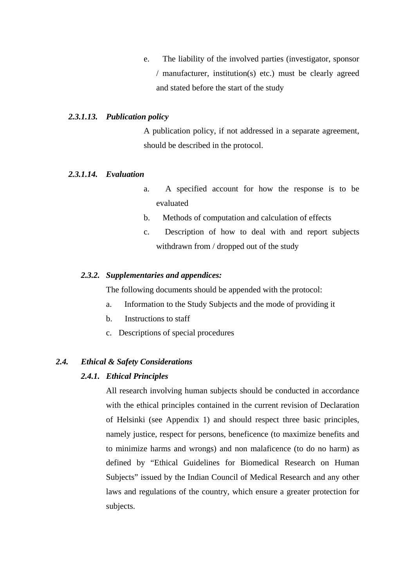e. The liability of the involved parties (investigator, sponsor / manufacturer, institution(s) etc.) must be clearly agreed and stated before the start of the study

### *2.3.1.13. Publication policy*

A publication policy, if not addressed in a separate agreement, should be described in the protocol.

#### *2.3.1.14. Evaluation*

- a. A specified account for how the response is to be evaluated
- b. Methods of computation and calculation of effects
- c. Description of how to deal with and report subjects withdrawn from / dropped out of the study

#### *2.3.2. Supplementaries and appendices:*

The following documents should be appended with the protocol:

- a. Information to the Study Subjects and the mode of providing it
- b. Instructions to staff
- c. Descriptions of special procedures

### *2.4. Ethical & Safety Considerations*

#### *2.4.1. Ethical Principles*

 All research involving human subjects should be conducted in accordance with the ethical principles contained in the current revision of Declaration of Helsinki (see Appendix 1) and should respect three basic principles, namely justice, respect for persons, beneficence (to maximize benefits and to minimize harms and wrongs) and non malaficence (to do no harm) as defined by "Ethical Guidelines for Biomedical Research on Human Subjects" issued by the Indian Council of Medical Research and any other laws and regulations of the country, which ensure a greater protection for subjects.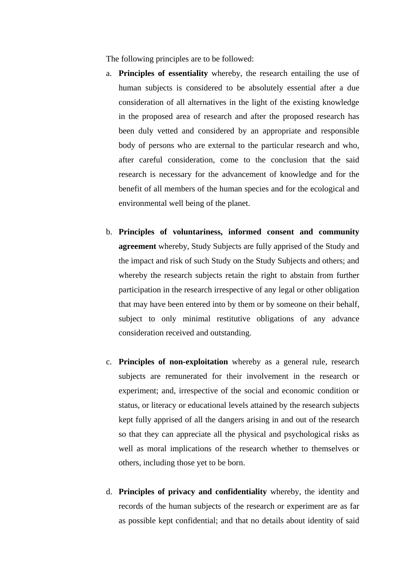The following principles are to be followed:

- a. **Principles of essentiality** whereby, the research entailing the use of human subjects is considered to be absolutely essential after a due consideration of all alternatives in the light of the existing knowledge in the proposed area of research and after the proposed research has been duly vetted and considered by an appropriate and responsible body of persons who are external to the particular research and who, after careful consideration, come to the conclusion that the said research is necessary for the advancement of knowledge and for the benefit of all members of the human species and for the ecological and environmental well being of the planet.
- b. **Principles of voluntariness, informed consent and community agreement** whereby, Study Subjects are fully apprised of the Study and the impact and risk of such Study on the Study Subjects and others; and whereby the research subjects retain the right to abstain from further participation in the research irrespective of any legal or other obligation that may have been entered into by them or by someone on their behalf, subject to only minimal restitutive obligations of any advance consideration received and outstanding.
- c. **Principles of non-exploitation** whereby as a general rule, research subjects are remunerated for their involvement in the research or experiment; and, irrespective of the social and economic condition or status, or literacy or educational levels attained by the research subjects kept fully apprised of all the dangers arising in and out of the research so that they can appreciate all the physical and psychological risks as well as moral implications of the research whether to themselves or others, including those yet to be born.
- d. **Principles of privacy and confidentiality** whereby, the identity and records of the human subjects of the research or experiment are as far as possible kept confidential; and that no details about identity of said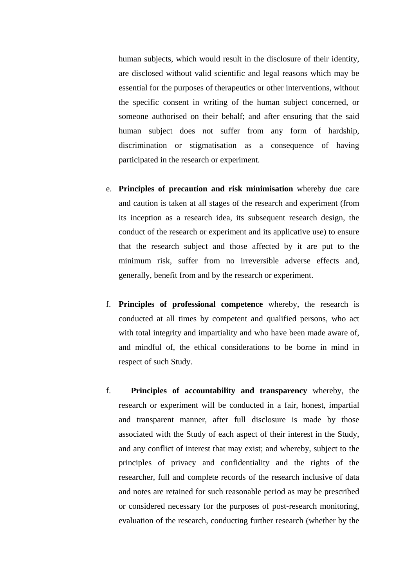human subjects, which would result in the disclosure of their identity, are disclosed without valid scientific and legal reasons which may be essential for the purposes of therapeutics or other interventions, without the specific consent in writing of the human subject concerned, or someone authorised on their behalf; and after ensuring that the said human subject does not suffer from any form of hardship, discrimination or stigmatisation as a consequence of having participated in the research or experiment.

- e. **Principles of precaution and risk minimisation** whereby due care and caution is taken at all stages of the research and experiment (from its inception as a research idea, its subsequent research design, the conduct of the research or experiment and its applicative use) to ensure that the research subject and those affected by it are put to the minimum risk, suffer from no irreversible adverse effects and, generally, benefit from and by the research or experiment.
- f. **Principles of professional competence** whereby, the research is conducted at all times by competent and qualified persons, who act with total integrity and impartiality and who have been made aware of, and mindful of, the ethical considerations to be borne in mind in respect of such Study.
- f. **Principles of accountability and transparency** whereby, the research or experiment will be conducted in a fair, honest, impartial and transparent manner, after full disclosure is made by those associated with the Study of each aspect of their interest in the Study, and any conflict of interest that may exist; and whereby, subject to the principles of privacy and confidentiality and the rights of the researcher, full and complete records of the research inclusive of data and notes are retained for such reasonable period as may be prescribed or considered necessary for the purposes of post-research monitoring, evaluation of the research, conducting further research (whether by the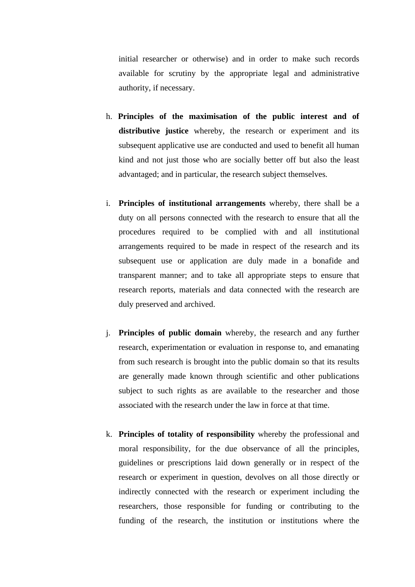initial researcher or otherwise) and in order to make such records available for scrutiny by the appropriate legal and administrative authority, if necessary.

- h. **Principles of the maximisation of the public interest and of distributive justice** whereby, the research or experiment and its subsequent applicative use are conducted and used to benefit all human kind and not just those who are socially better off but also the least advantaged; and in particular, the research subject themselves.
- i. **Principles of institutional arrangements** whereby, there shall be a duty on all persons connected with the research to ensure that all the procedures required to be complied with and all institutional arrangements required to be made in respect of the research and its subsequent use or application are duly made in a bonafide and transparent manner; and to take all appropriate steps to ensure that research reports, materials and data connected with the research are duly preserved and archived.
- j. **Principles of public domain** whereby, the research and any further research, experimentation or evaluation in response to, and emanating from such research is brought into the public domain so that its results are generally made known through scientific and other publications subject to such rights as are available to the researcher and those associated with the research under the law in force at that time.
- k. **Principles of totality of responsibility** whereby the professional and moral responsibility, for the due observance of all the principles, guidelines or prescriptions laid down generally or in respect of the research or experiment in question, devolves on all those directly or indirectly connected with the research or experiment including the researchers, those responsible for funding or contributing to the funding of the research, the institution or institutions where the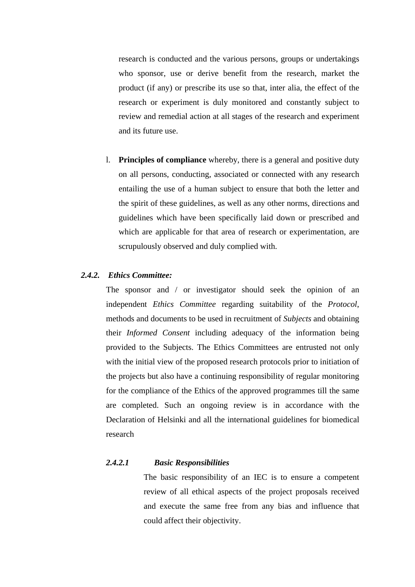research is conducted and the various persons, groups or undertakings who sponsor, use or derive benefit from the research, market the product (if any) or prescribe its use so that, inter alia, the effect of the research or experiment is duly monitored and constantly subject to review and remedial action at all stages of the research and experiment and its future use.

l. **Principles of compliance** whereby, there is a general and positive duty on all persons, conducting, associated or connected with any research entailing the use of a human subject to ensure that both the letter and the spirit of these guidelines, as well as any other norms, directions and guidelines which have been specifically laid down or prescribed and which are applicable for that area of research or experimentation, are scrupulously observed and duly complied with.

#### *2.4.2. Ethics Committee:*

The sponsor and / or investigator should seek the opinion of an independent *Ethics Committee* regarding suitability of the *Protocol*, methods and documents to be used in recruitment of *Subjects* and obtaining their *Informed Consent* including adequacy of the information being provided to the Subjects. The Ethics Committees are entrusted not only with the initial view of the proposed research protocols prior to initiation of the projects but also have a continuing responsibility of regular monitoring for the compliance of the Ethics of the approved programmes till the same are completed. Such an ongoing review is in accordance with the Declaration of Helsinki and all the international guidelines for biomedical research

# *2.4.2.1 Basic Responsibilities*

The basic responsibility of an IEC is to ensure a competent review of all ethical aspects of the project proposals received and execute the same free from any bias and influence that could affect their objectivity.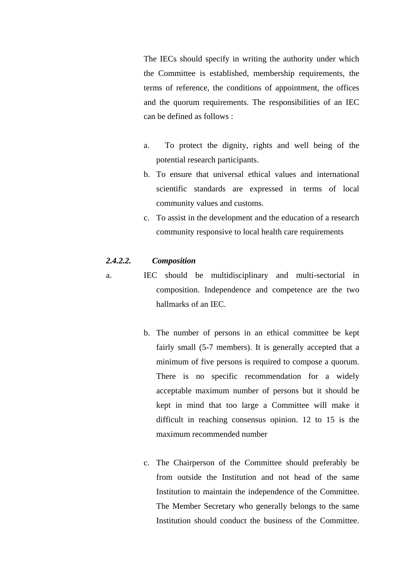The IECs should specify in writing the authority under which the Committee is established, membership requirements, the terms of reference, the conditions of appointment, the offices and the quorum requirements. The responsibilities of an IEC can be defined as follows :

- a. To protect the dignity, rights and well being of the potential research participants.
- b. To ensure that universal ethical values and international scientific standards are expressed in terms of local community values and customs.
- c. To assist in the development and the education of a research community responsive to local health care requirements

### *2.4.2.2. Composition*

- a. IEC should be multidisciplinary and multi-sectorial in composition. Independence and competence are the two hallmarks of an IEC.
	- b. The number of persons in an ethical committee be kept fairly small (5-7 members). It is generally accepted that a minimum of five persons is required to compose a quorum. There is no specific recommendation for a widely acceptable maximum number of persons but it should be kept in mind that too large a Committee will make it difficult in reaching consensus opinion. 12 to 15 is the maximum recommended number
	- c. The Chairperson of the Committee should preferably be from outside the Institution and not head of the same Institution to maintain the independence of the Committee. The Member Secretary who generally belongs to the same Institution should conduct the business of the Committee.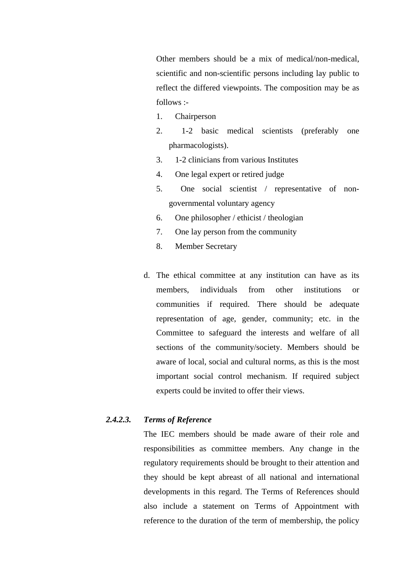Other members should be a mix of medical/non-medical, scientific and non-scientific persons including lay public to reflect the differed viewpoints. The composition may be as follows :-

- 1. Chairperson
- 2. 1-2 basic medical scientists (preferably one pharmacologists).
- 3. 1-2 clinicians from various Institutes
- 4. One legal expert or retired judge
- 5. One social scientist / representative of nongovernmental voluntary agency
- 6. One philosopher / ethicist / theologian
- 7. One lay person from the community
- 8. Member Secretary
- d. The ethical committee at any institution can have as its members, individuals from other institutions or communities if required. There should be adequate representation of age, gender, community; etc. in the Committee to safeguard the interests and welfare of all sections of the community/society. Members should be aware of local, social and cultural norms, as this is the most important social control mechanism. If required subject experts could be invited to offer their views.

# *2.4.2.3. Terms of Reference*

The IEC members should be made aware of their role and responsibilities as committee members. Any change in the regulatory requirements should be brought to their attention and they should be kept abreast of all national and international developments in this regard. The Terms of References should also include a statement on Terms of Appointment with reference to the duration of the term of membership, the policy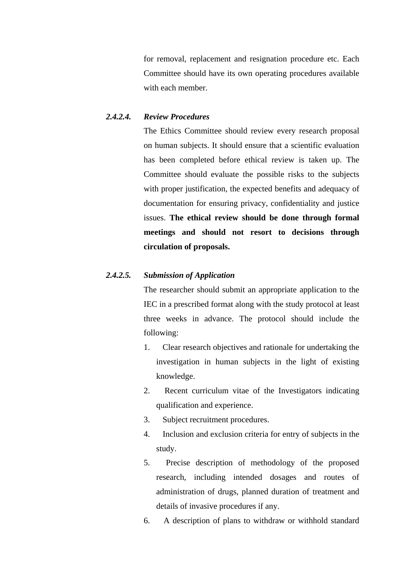for removal, replacement and resignation procedure etc. Each Committee should have its own operating procedures available with each member.

### *2.4.2.4. Review Procedures*

The Ethics Committee should review every research proposal on human subjects. It should ensure that a scientific evaluation has been completed before ethical review is taken up. The Committee should evaluate the possible risks to the subjects with proper justification, the expected benefits and adequacy of documentation for ensuring privacy, confidentiality and justice issues. **The ethical review should be done through formal meetings and should not resort to decisions through circulation of proposals.**

# *2.4.2.5. Submission of Application*

The researcher should submit an appropriate application to the IEC in a prescribed format along with the study protocol at least three weeks in advance. The protocol should include the following:

- 1. Clear research objectives and rationale for undertaking the investigation in human subjects in the light of existing knowledge.
- 2. Recent curriculum vitae of the Investigators indicating qualification and experience.
- 3. Subject recruitment procedures.
- 4. Inclusion and exclusion criteria for entry of subjects in the study.
- 5. Precise description of methodology of the proposed research, including intended dosages and routes of administration of drugs, planned duration of treatment and details of invasive procedures if any.
- 6. A description of plans to withdraw or withhold standard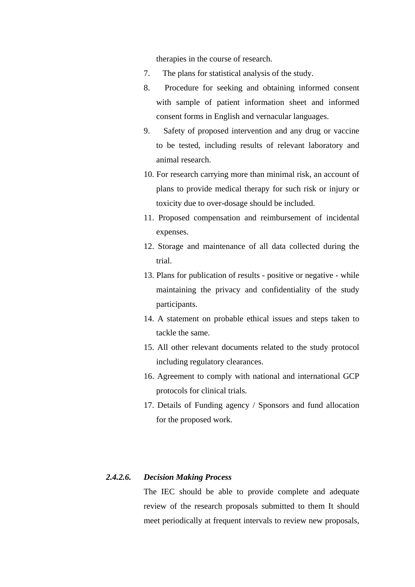therapies in the course of research.

- 7. The plans for statistical analysis of the study.
- 8. Procedure for seeking and obtaining informed consent with sample of patient information sheet and informed consent forms in English and vernacular languages.
- 9. Safety of proposed intervention and any drug or vaccine to be tested, including results of relevant laboratory and animal research.
- 10. For research carrying more than minimal risk, an account of plans to provide medical therapy for such risk or injury or toxicity due to over-dosage should be included.
- 11. Proposed compensation and reimbursement of incidental expenses.
- 12. Storage and maintenance of all data collected during the trial.
- 13. Plans for publication of results positive or negative while maintaining the privacy and confidentiality of the study participants.
- 14. A statement on probable ethical issues and steps taken to tackle the same.
- 15. All other relevant documents related to the study protocol including regulatory clearances.
- 16. Agreement to comply with national and international GCP protocols for clinical trials.
- 17. Details of Funding agency / Sponsors and fund allocation for the proposed work.

# *2.4.2.6. Decision Making Process*

The IEC should be able to provide complete and adequate review of the research proposals submitted to them It should meet periodically at frequent intervals to review new proposals,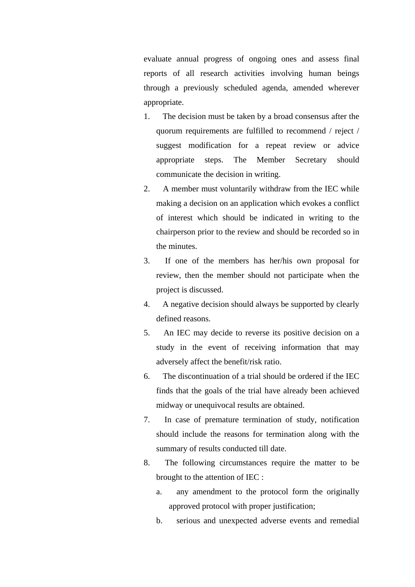evaluate annual progress of ongoing ones and assess final reports of all research activities involving human beings through a previously scheduled agenda, amended wherever appropriate.

- 1. The decision must be taken by a broad consensus after the quorum requirements are fulfilled to recommend / reject / suggest modification for a repeat review or advice appropriate steps. The Member Secretary should communicate the decision in writing.
- 2. A member must voluntarily withdraw from the IEC while making a decision on an application which evokes a conflict of interest which should be indicated in writing to the chairperson prior to the review and should be recorded so in the minutes.
- 3. If one of the members has her/his own proposal for review, then the member should not participate when the project is discussed.
- 4. A negative decision should always be supported by clearly defined reasons.
- 5. An IEC may decide to reverse its positive decision on a study in the event of receiving information that may adversely affect the benefit/risk ratio.
- 6. The discontinuation of a trial should be ordered if the IEC finds that the goals of the trial have already been achieved midway or unequivocal results are obtained.
- 7. In case of premature termination of study, notification should include the reasons for termination along with the summary of results conducted till date.
- 8. The following circumstances require the matter to be brought to the attention of IEC :
	- a. any amendment to the protocol form the originally approved protocol with proper justification;
	- b. serious and unexpected adverse events and remedial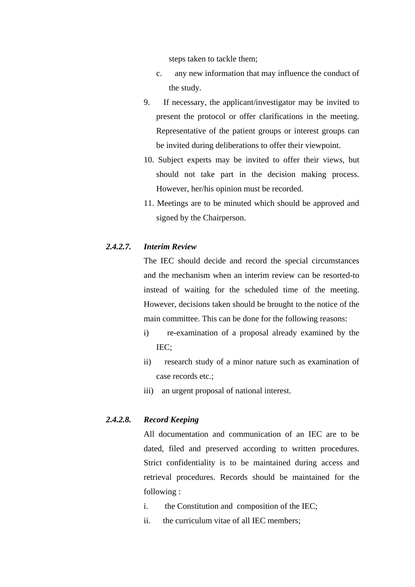steps taken to tackle them;

- c. any new information that may influence the conduct of the study.
- 9. If necessary, the applicant/investigator may be invited to present the protocol or offer clarifications in the meeting. Representative of the patient groups or interest groups can be invited during deliberations to offer their viewpoint.
- 10. Subject experts may be invited to offer their views, but should not take part in the decision making process. However, her/his opinion must be recorded.
- 11. Meetings are to be minuted which should be approved and signed by the Chairperson.

## *2.4.2.7. Interim Review*

The IEC should decide and record the special circumstances and the mechanism when an interim review can be resorted-to instead of waiting for the scheduled time of the meeting. However, decisions taken should be brought to the notice of the main committee. This can be done for the following reasons:

- i) re-examination of a proposal already examined by the IEC;
- ii) research study of a minor nature such as examination of case records etc.;
- iii) an urgent proposal of national interest.

# *2.4.2.8. Record Keeping*

All documentation and communication of an IEC are to be dated, filed and preserved according to written procedures. Strict confidentiality is to be maintained during access and retrieval procedures. Records should be maintained for the following :

- i. the Constitution and composition of the IEC;
- ii. the curriculum vitae of all IEC members;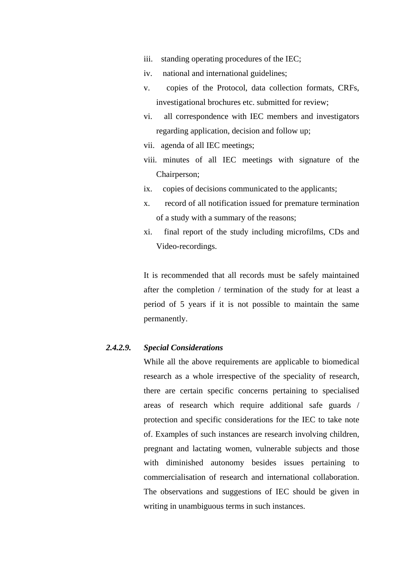- iii. standing operating procedures of the IEC;
- iv. national and international guidelines;
- v. copies of the Protocol, data collection formats, CRFs, investigational brochures etc. submitted for review;
- vi. all correspondence with IEC members and investigators regarding application, decision and follow up;
- vii. agenda of all IEC meetings;
- viii. minutes of all IEC meetings with signature of the Chairperson;
- ix. copies of decisions communicated to the applicants;
- x. record of all notification issued for premature termination of a study with a summary of the reasons;
- xi. final report of the study including microfilms, CDs and Video-recordings.

It is recommended that all records must be safely maintained after the completion / termination of the study for at least a period of 5 years if it is not possible to maintain the same permanently.

## *2.4.2.9. Special Considerations*

While all the above requirements are applicable to biomedical research as a whole irrespective of the speciality of research, there are certain specific concerns pertaining to specialised areas of research which require additional safe guards / protection and specific considerations for the IEC to take note of. Examples of such instances are research involving children, pregnant and lactating women, vulnerable subjects and those with diminished autonomy besides issues pertaining to commercialisation of research and international collaboration. The observations and suggestions of IEC should be given in writing in unambiguous terms in such instances.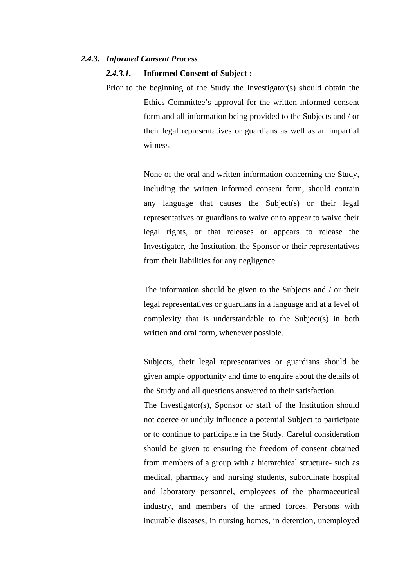#### *2.4.3. Informed Consent Process*

## *2.4.3.1.* **Informed Consent of Subject :**

Prior to the beginning of the Study the Investigator(s) should obtain the Ethics Committee's approval for the written informed consent form and all information being provided to the Subjects and / or their legal representatives or guardians as well as an impartial witness.

> None of the oral and written information concerning the Study, including the written informed consent form, should contain any language that causes the Subject(s) or their legal representatives or guardians to waive or to appear to waive their legal rights, or that releases or appears to release the Investigator, the Institution, the Sponsor or their representatives from their liabilities for any negligence.

> The information should be given to the Subjects and / or their legal representatives or guardians in a language and at a level of complexity that is understandable to the Subject(s) in both written and oral form, whenever possible.

> Subjects, their legal representatives or guardians should be given ample opportunity and time to enquire about the details of the Study and all questions answered to their satisfaction.

> The Investigator(s), Sponsor or staff of the Institution should not coerce or unduly influence a potential Subject to participate or to continue to participate in the Study. Careful consideration should be given to ensuring the freedom of consent obtained from members of a group with a hierarchical structure- such as medical, pharmacy and nursing students, subordinate hospital and laboratory personnel, employees of the pharmaceutical industry, and members of the armed forces. Persons with incurable diseases, in nursing homes, in detention, unemployed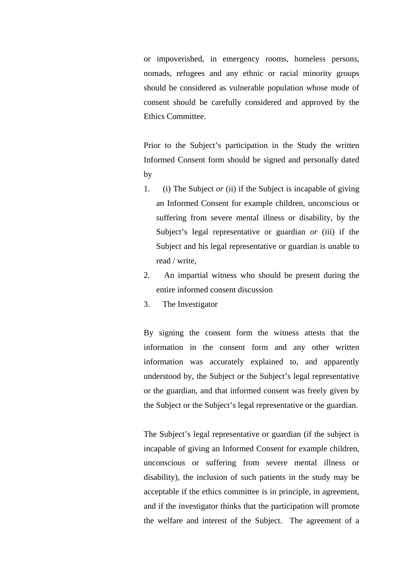or impoverished, in emergency rooms, homeless persons, nomads, refugees and any ethnic or racial minority groups should be considered as vulnerable population whose mode of consent should be carefully considered and approved by the Ethics Committee.

Prior to the Subject's participation in the Study the written Informed Consent form should be signed and personally dated by

- 1. (i) The Subject *or* (ii) if the Subject is incapable of giving an Informed Consent for example children, unconscious or suffering from severe mental illness or disability, by the Subject's legal representative or guardian *or* (iii) if the Subject and his legal representative or guardian is unable to read / write,
- 2. An impartial witness who should be present during the entire informed consent discussion
- 3. The Investigator

By signing the consent form the witness attests that the information in the consent form and any other written information was accurately explained to, and apparently understood by, the Subject or the Subject's legal representative or the guardian, and that informed consent was freely given by the Subject or the Subject's legal representative or the guardian.

The Subject's legal representative or guardian (if the subject is incapable of giving an Informed Consent for example children, unconscious or suffering from severe mental illness or disability), the inclusion of such patients in the study may be acceptable if the ethics committee is in principle, in agreement, and if the investigator thinks that the participation will promote the welfare and interest of the Subject. The agreement of a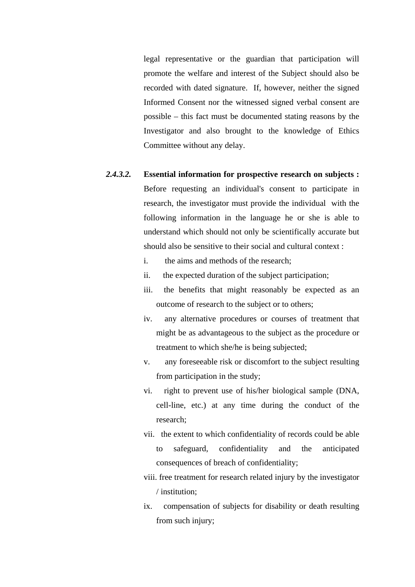legal representative or the guardian that participation will promote the welfare and interest of the Subject should also be recorded with dated signature. If, however, neither the signed Informed Consent nor the witnessed signed verbal consent are possible – this fact must be documented stating reasons by the Investigator and also brought to the knowledge of Ethics Committee without any delay.

- *2.4.3.2.* **Essential information for prospective research on subjects :** Before requesting an individual's consent to participate in research, the investigator must provide the individual with the following information in the language he or she is able to understand which should not only be scientifically accurate but should also be sensitive to their social and cultural context :
	- i. the aims and methods of the research;
	- ii. the expected duration of the subject participation;
	- iii. the benefits that might reasonably be expected as an outcome of research to the subject or to others;
	- iv. any alternative procedures or courses of treatment that might be as advantageous to the subject as the procedure or treatment to which she/he is being subjected;
	- v. any foreseeable risk or discomfort to the subject resulting from participation in the study;
	- vi. right to prevent use of his/her biological sample (DNA, cell-line, etc.) at any time during the conduct of the research;
	- vii. the extent to which confidentiality of records could be able to safeguard, confidentiality and the anticipated consequences of breach of confidentiality;
	- viii. free treatment for research related injury by the investigator / institution;
	- ix. compensation of subjects for disability or death resulting from such injury;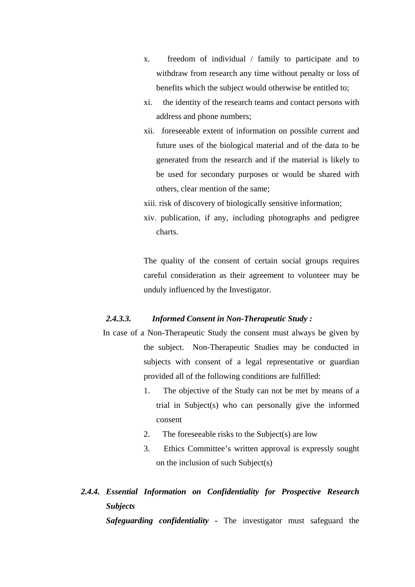- x. freedom of individual / family to participate and to withdraw from research any time without penalty or loss of benefits which the subject would otherwise be entitled to;
- xi. the identity of the research teams and contact persons with address and phone numbers;
- xii. foreseeable extent of information on possible current and future uses of the biological material and of the data to be generated from the research and if the material is likely to be used for secondary purposes or would be shared with others, clear mention of the same;
- xiii. risk of discovery of biologically sensitive information;
- xiv. publication, if any, including photographs and pedigree charts.

The quality of the consent of certain social groups requires careful consideration as their agreement to volunteer may be unduly influenced by the Investigator.

# *2.4.3.3. Informed Consent in Non-Therapeutic Study :*

- In case of a Non-Therapeutic Study the consent must always be given by the subject. Non-Therapeutic Studies may be conducted in subjects with consent of a legal representative or guardian provided all of the following conditions are fulfilled:
	- 1. The objective of the Study can not be met by means of a trial in Subject(s) who can personally give the informed consent
	- 2. The foreseeable risks to the Subject(s) are low
	- 3. Ethics Committee's written approval is expressly sought on the inclusion of such Subject(s)
- *2.4.4. Essential Information on Confidentiality for Prospective Research Subjects*

*Safeguarding confidentiality* **-** The investigator must safeguard the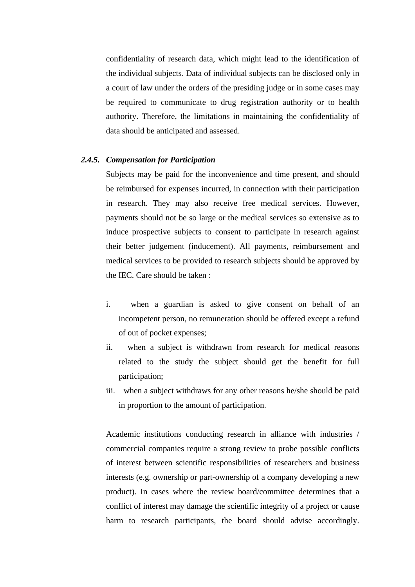confidentiality of research data, which might lead to the identification of the individual subjects. Data of individual subjects can be disclosed only in a court of law under the orders of the presiding judge or in some cases may be required to communicate to drug registration authority or to health authority. Therefore, the limitations in maintaining the confidentiality of data should be anticipated and assessed.

#### *2.4.5. Compensation for Participation*

Subjects may be paid for the inconvenience and time present, and should be reimbursed for expenses incurred, in connection with their participation in research. They may also receive free medical services. However, payments should not be so large or the medical services so extensive as to induce prospective subjects to consent to participate in research against their better judgement (inducement). All payments, reimbursement and medical services to be provided to research subjects should be approved by the IEC. Care should be taken :

- i. when a guardian is asked to give consent on behalf of an incompetent person, no remuneration should be offered except a refund of out of pocket expenses;
- ii. when a subject is withdrawn from research for medical reasons related to the study the subject should get the benefit for full participation;
- iii. when a subject withdraws for any other reasons he/she should be paid in proportion to the amount of participation.

Academic institutions conducting research in alliance with industries / commercial companies require a strong review to probe possible conflicts of interest between scientific responsibilities of researchers and business interests (e.g. ownership or part-ownership of a company developing a new product). In cases where the review board/committee determines that a conflict of interest may damage the scientific integrity of a project or cause harm to research participants, the board should advise accordingly.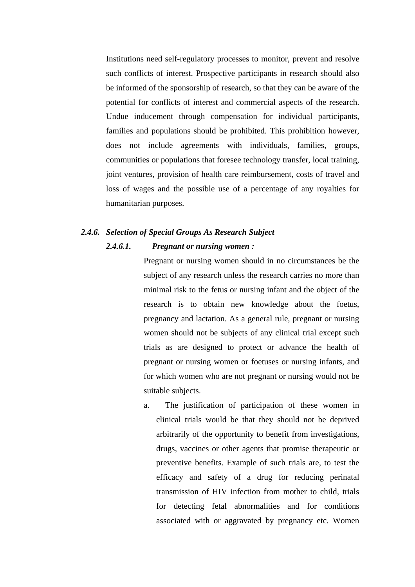Institutions need self-regulatory processes to monitor, prevent and resolve such conflicts of interest. Prospective participants in research should also be informed of the sponsorship of research, so that they can be aware of the potential for conflicts of interest and commercial aspects of the research. Undue inducement through compensation for individual participants, families and populations should be prohibited. This prohibition however, does not include agreements with individuals, families, groups, communities or populations that foresee technology transfer, local training, joint ventures, provision of health care reimbursement, costs of travel and loss of wages and the possible use of a percentage of any royalties for humanitarian purposes.

# *2.4.6. Selection of Special Groups As Research Subject*

#### *2.4.6.1. Pregnant or nursing women :*

Pregnant or nursing women should in no circumstances be the subject of any research unless the research carries no more than minimal risk to the fetus or nursing infant and the object of the research is to obtain new knowledge about the foetus, pregnancy and lactation. As a general rule, pregnant or nursing women should not be subjects of any clinical trial except such trials as are designed to protect or advance the health of pregnant or nursing women or foetuses or nursing infants, and for which women who are not pregnant or nursing would not be suitable subjects.

a. The justification of participation of these women in clinical trials would be that they should not be deprived arbitrarily of the opportunity to benefit from investigations, drugs, vaccines or other agents that promise therapeutic or preventive benefits. Example of such trials are, to test the efficacy and safety of a drug for reducing perinatal transmission of HIV infection from mother to child, trials for detecting fetal abnormalities and for conditions associated with or aggravated by pregnancy etc. Women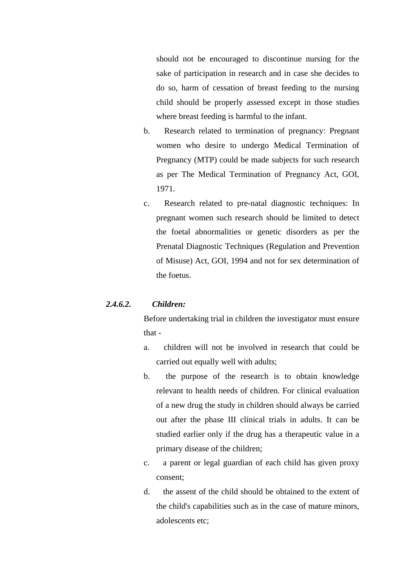should not be encouraged to discontinue nursing for the sake of participation in research and in case she decides to do so, harm of cessation of breast feeding to the nursing child should be properly assessed except in those studies where breast feeding is harmful to the infant.

- b. Research related to termination of pregnancy: Pregnant women who desire to undergo Medical Termination of Pregnancy (MTP) could be made subjects for such research as per The Medical Termination of Pregnancy Act, GOI, 1971.
- c. Research related to pre-natal diagnostic techniques: In pregnant women such research should be limited to detect the foetal abnormalities or genetic disorders as per the Prenatal Diagnostic Techniques (Regulation and Prevention of Misuse) Act, GOI, 1994 and not for sex determination of the foetus.

# *2.4.6.2. Children:*

Before undertaking trial in children the investigator must ensure that -

- a. children will not be involved in research that could be carried out equally well with adults;
- b. the purpose of the research is to obtain knowledge relevant to health needs of children. For clinical evaluation of a new drug the study in children should always be carried out after the phase III clinical trials in adults. It can be studied earlier only if the drug has a therapeutic value in a primary disease of the children;
- c. a parent or legal guardian of each child has given proxy consent;
- d. the assent of the child should be obtained to the extent of the child's capabilities such as in the case of mature minors, adolescents etc;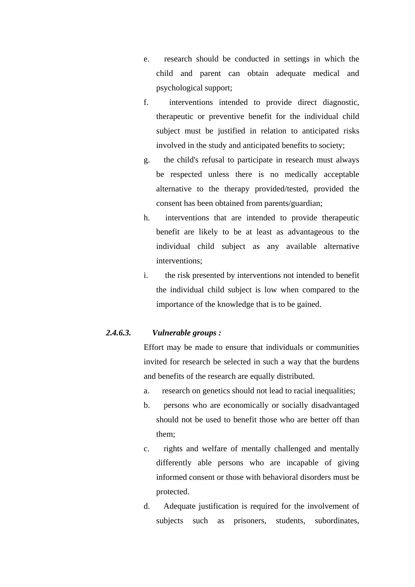- e. research should be conducted in settings in which the child and parent can obtain adequate medical and psychological support;
- f. interventions intended to provide direct diagnostic, therapeutic or preventive benefit for the individual child subject must be justified in relation to anticipated risks involved in the study and anticipated benefits to society;
- g. the child's refusal to participate in research must always be respected unless there is no medically acceptable alternative to the therapy provided/tested, provided the consent has been obtained from parents/guardian;
- h. interventions that are intended to provide therapeutic benefit are likely to be at least as advantageous to the individual child subject as any available alternative interventions;
- i. the risk presented by interventions not intended to benefit the individual child subject is low when compared to the importance of the knowledge that is to be gained.

# *2.4.6.3. Vulnerable groups :*

Effort may be made to ensure that individuals or communities invited for research be selected in such a way that the burdens and benefits of the research are equally distributed.

- a. research on genetics should not lead to racial inequalities;
- b. persons who are economically or socially disadvantaged should not be used to benefit those who are better off than them;
- c. rights and welfare of mentally challenged and mentally differently able persons who are incapable of giving informed consent or those with behavioral disorders must be protected.
- d. Adequate justification is required for the involvement of subjects such as prisoners, students, subordinates,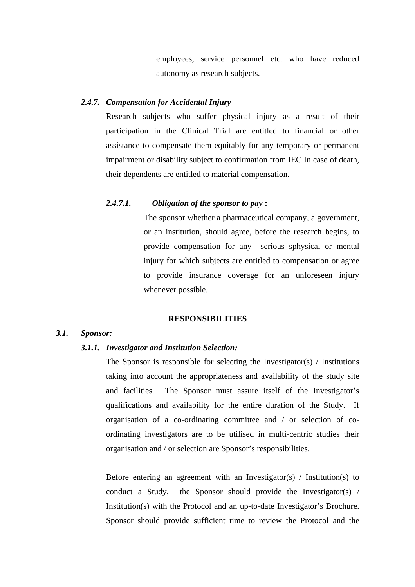employees, service personnel etc. who have reduced autonomy as research subjects.

## *2.4.7. Compensation for Accidental Injury*

Research subjects who suffer physical injury as a result of their participation in the Clinical Trial are entitled to financial or other assistance to compensate them equitably for any temporary or permanent impairment or disability subject to confirmation from IEC In case of death, their dependents are entitled to material compensation.

# *2.4.7.1. Obligation of the sponsor to pay* **:**

The sponsor whether a pharmaceutical company, a government, or an institution, should agree, before the research begins, to provide compensation for any serious sphysical or mental injury for which subjects are entitled to compensation or agree to provide insurance coverage for an unforeseen injury whenever possible.

### **RESPONSIBILITIES**

### *3.1. Sponsor:*

### *3.1.1. Investigator and Institution Selection:*

The Sponsor is responsible for selecting the Investigator(s)  $\prime$  Institutions taking into account the appropriateness and availability of the study site and facilities. The Sponsor must assure itself of the Investigator's qualifications and availability for the entire duration of the Study. If organisation of a co-ordinating committee and / or selection of coordinating investigators are to be utilised in multi-centric studies their organisation and / or selection are Sponsor's responsibilities.

Before entering an agreement with an Investigator(s) / Institution(s) to conduct a Study, the Sponsor should provide the Investigator(s) / Institution(s) with the Protocol and an up-to-date Investigator's Brochure. Sponsor should provide sufficient time to review the Protocol and the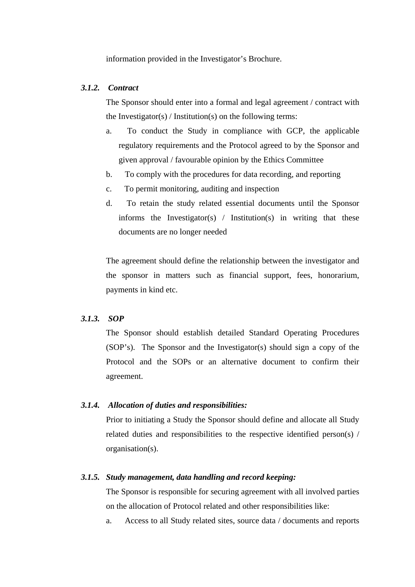information provided in the Investigator's Brochure.

## *3.1.2. Contract*

The Sponsor should enter into a formal and legal agreement / contract with the Investigator(s) / Institution(s) on the following terms:

- a. To conduct the Study in compliance with GCP, the applicable regulatory requirements and the Protocol agreed to by the Sponsor and given approval / favourable opinion by the Ethics Committee
- b. To comply with the procedures for data recording, and reporting
- c. To permit monitoring, auditing and inspection
- d. To retain the study related essential documents until the Sponsor informs the Investigator(s) / Institution(s) in writing that these documents are no longer needed

The agreement should define the relationship between the investigator and the sponsor in matters such as financial support, fees, honorarium, payments in kind etc.

# *3.1.3. SOP*

 The Sponsor should establish detailed Standard Operating Procedures (SOP's). The Sponsor and the Investigator(s) should sign a copy of the Protocol and the SOPs or an alternative document to confirm their agreement.

# *3.1.4. Allocation of duties and responsibilities:*

 Prior to initiating a Study the Sponsor should define and allocate all Study related duties and responsibilities to the respective identified person(s) / organisation(s).

## *3.1.5. Study management, data handling and record keeping:*

The Sponsor is responsible for securing agreement with all involved parties on the allocation of Protocol related and other responsibilities like:

a. Access to all Study related sites, source data / documents and reports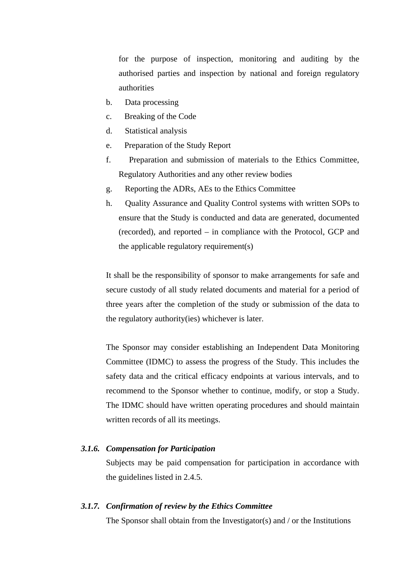for the purpose of inspection, monitoring and auditing by the authorised parties and inspection by national and foreign regulatory authorities

- b. Data processing
- c. Breaking of the Code
- d. Statistical analysis
- e. Preparation of the Study Report
- f. Preparation and submission of materials to the Ethics Committee, Regulatory Authorities and any other review bodies
- g. Reporting the ADRs, AEs to the Ethics Committee
- h. Quality Assurance and Quality Control systems with written SOPs to ensure that the Study is conducted and data are generated, documented (recorded), and reported – in compliance with the Protocol, GCP and the applicable regulatory requirement(s)

It shall be the responsibility of sponsor to make arrangements for safe and secure custody of all study related documents and material for a period of three years after the completion of the study or submission of the data to the regulatory authority(ies) whichever is later.

The Sponsor may consider establishing an Independent Data Monitoring Committee (IDMC) to assess the progress of the Study. This includes the safety data and the critical efficacy endpoints at various intervals, and to recommend to the Sponsor whether to continue, modify, or stop a Study. The IDMC should have written operating procedures and should maintain written records of all its meetings.

## *3.1.6. Compensation for Participation*

Subjects may be paid compensation for participation in accordance with the guidelines listed in 2.4.5.

#### *3.1.7. Confirmation of review by the Ethics Committee*

The Sponsor shall obtain from the Investigator(s) and / or the Institutions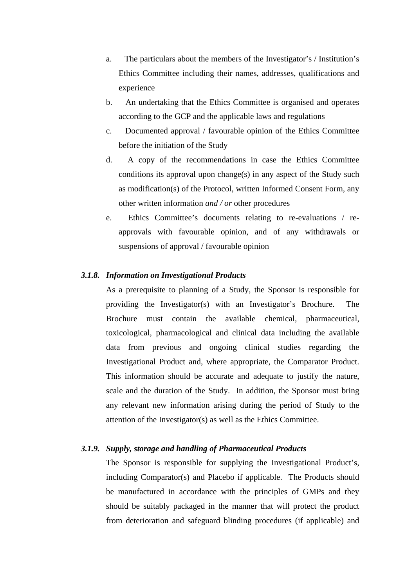- a. The particulars about the members of the Investigator's / Institution's Ethics Committee including their names, addresses, qualifications and experience
- b. An undertaking that the Ethics Committee is organised and operates according to the GCP and the applicable laws and regulations
- c. Documented approval / favourable opinion of the Ethics Committee before the initiation of the Study
- d. A copy of the recommendations in case the Ethics Committee conditions its approval upon change(s) in any aspect of the Study such as modification(s) of the Protocol, written Informed Consent Form, any other written information *and / or* other procedures
- e. Ethics Committee's documents relating to re-evaluations / reapprovals with favourable opinion, and of any withdrawals or suspensions of approval / favourable opinion

### *3.1.8. Information on Investigational Products*

As a prerequisite to planning of a Study, the Sponsor is responsible for providing the Investigator(s) with an Investigator's Brochure. The Brochure must contain the available chemical, pharmaceutical, toxicological, pharmacological and clinical data including the available data from previous and ongoing clinical studies regarding the Investigational Product and, where appropriate, the Comparator Product. This information should be accurate and adequate to justify the nature, scale and the duration of the Study. In addition, the Sponsor must bring any relevant new information arising during the period of Study to the attention of the Investigator(s) as well as the Ethics Committee.

## *3.1.9. Supply, storage and handling of Pharmaceutical Products*

The Sponsor is responsible for supplying the Investigational Product's, including Comparator(s) and Placebo if applicable. The Products should be manufactured in accordance with the principles of GMPs and they should be suitably packaged in the manner that will protect the product from deterioration and safeguard blinding procedures (if applicable) and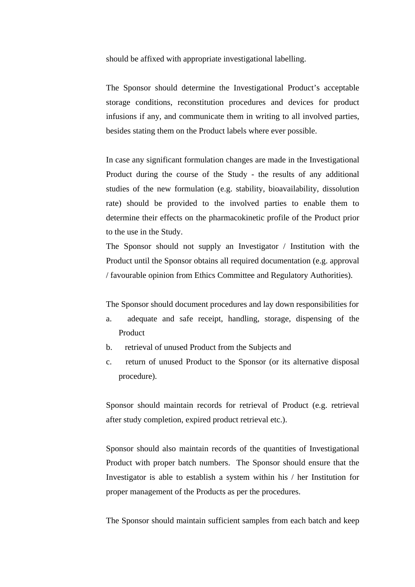should be affixed with appropriate investigational labelling.

The Sponsor should determine the Investigational Product's acceptable storage conditions, reconstitution procedures and devices for product infusions if any, and communicate them in writing to all involved parties, besides stating them on the Product labels where ever possible.

In case any significant formulation changes are made in the Investigational Product during the course of the Study - the results of any additional studies of the new formulation (e.g. stability, bioavailability, dissolution rate) should be provided to the involved parties to enable them to determine their effects on the pharmacokinetic profile of the Product prior to the use in the Study.

The Sponsor should not supply an Investigator / Institution with the Product until the Sponsor obtains all required documentation (e.g. approval / favourable opinion from Ethics Committee and Regulatory Authorities).

The Sponsor should document procedures and lay down responsibilities for

- a. adequate and safe receipt, handling, storage, dispensing of the Product
- b. retrieval of unused Product from the Subjects and
- c. return of unused Product to the Sponsor (or its alternative disposal procedure).

Sponsor should maintain records for retrieval of Product (e.g. retrieval after study completion, expired product retrieval etc.).

Sponsor should also maintain records of the quantities of Investigational Product with proper batch numbers. The Sponsor should ensure that the Investigator is able to establish a system within his / her Institution for proper management of the Products as per the procedures.

The Sponsor should maintain sufficient samples from each batch and keep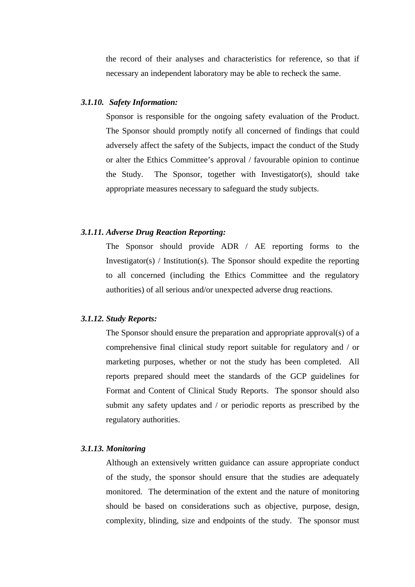the record of their analyses and characteristics for reference, so that if necessary an independent laboratory may be able to recheck the same.

### *3.1.10. Safety Information:*

Sponsor is responsible for the ongoing safety evaluation of the Product. The Sponsor should promptly notify all concerned of findings that could adversely affect the safety of the Subjects, impact the conduct of the Study or alter the Ethics Committee's approval / favourable opinion to continue the Study. The Sponsor, together with Investigator(s), should take appropriate measures necessary to safeguard the study subjects.

### *3.1.11. Adverse Drug Reaction Reporting:*

The Sponsor should provide ADR / AE reporting forms to the Investigator(s) / Institution(s). The Sponsor should expedite the reporting to all concerned (including the Ethics Committee and the regulatory authorities) of all serious and/or unexpected adverse drug reactions.

### *3.1.12. Study Reports:*

The Sponsor should ensure the preparation and appropriate approval(s) of a comprehensive final clinical study report suitable for regulatory and / or marketing purposes, whether or not the study has been completed. All reports prepared should meet the standards of the GCP guidelines for Format and Content of Clinical Study Reports. The sponsor should also submit any safety updates and / or periodic reports as prescribed by the regulatory authorities.

## *3.1.13. Monitoring*

Although an extensively written guidance can assure appropriate conduct of the study, the sponsor should ensure that the studies are adequately monitored. The determination of the extent and the nature of monitoring should be based on considerations such as objective, purpose, design, complexity, blinding, size and endpoints of the study. The sponsor must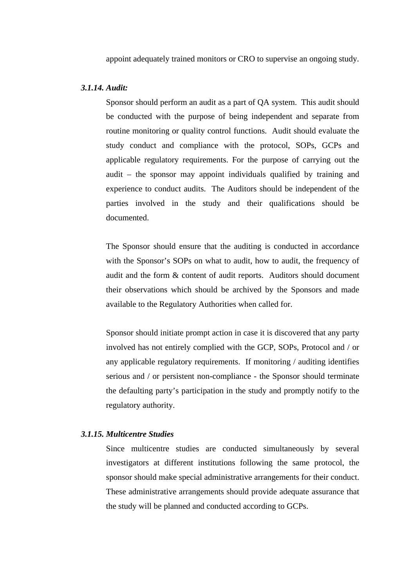appoint adequately trained monitors or CRO to supervise an ongoing study.

# *3.1.14. Audit:*

Sponsor should perform an audit as a part of QA system. This audit should be conducted with the purpose of being independent and separate from routine monitoring or quality control functions. Audit should evaluate the study conduct and compliance with the protocol, SOPs, GCPs and applicable regulatory requirements. For the purpose of carrying out the audit – the sponsor may appoint individuals qualified by training and experience to conduct audits. The Auditors should be independent of the parties involved in the study and their qualifications should be documented.

The Sponsor should ensure that the auditing is conducted in accordance with the Sponsor's SOPs on what to audit, how to audit, the frequency of audit and the form & content of audit reports. Auditors should document their observations which should be archived by the Sponsors and made available to the Regulatory Authorities when called for.

Sponsor should initiate prompt action in case it is discovered that any party involved has not entirely complied with the GCP, SOPs, Protocol and / or any applicable regulatory requirements. If monitoring / auditing identifies serious and / or persistent non-compliance - the Sponsor should terminate the defaulting party's participation in the study and promptly notify to the regulatory authority.

### *3.1.15. Multicentre Studies*

Since multicentre studies are conducted simultaneously by several investigators at different institutions following the same protocol, the sponsor should make special administrative arrangements for their conduct. These administrative arrangements should provide adequate assurance that the study will be planned and conducted according to GCPs.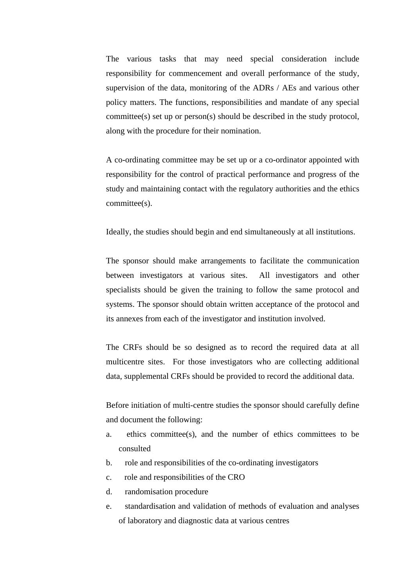The various tasks that may need special consideration include responsibility for commencement and overall performance of the study, supervision of the data, monitoring of the ADRs / AEs and various other policy matters. The functions, responsibilities and mandate of any special committee(s) set up or person(s) should be described in the study protocol, along with the procedure for their nomination.

A co-ordinating committee may be set up or a co-ordinator appointed with responsibility for the control of practical performance and progress of the study and maintaining contact with the regulatory authorities and the ethics committee(s).

Ideally, the studies should begin and end simultaneously at all institutions.

The sponsor should make arrangements to facilitate the communication between investigators at various sites. All investigators and other specialists should be given the training to follow the same protocol and systems. The sponsor should obtain written acceptance of the protocol and its annexes from each of the investigator and institution involved.

The CRFs should be so designed as to record the required data at all multicentre sites. For those investigators who are collecting additional data, supplemental CRFs should be provided to record the additional data.

Before initiation of multi-centre studies the sponsor should carefully define and document the following:

- a. ethics committee(s), and the number of ethics committees to be consulted
- b. role and responsibilities of the co-ordinating investigators
- c. role and responsibilities of the CRO
- d. randomisation procedure
- e. standardisation and validation of methods of evaluation and analyses of laboratory and diagnostic data at various centres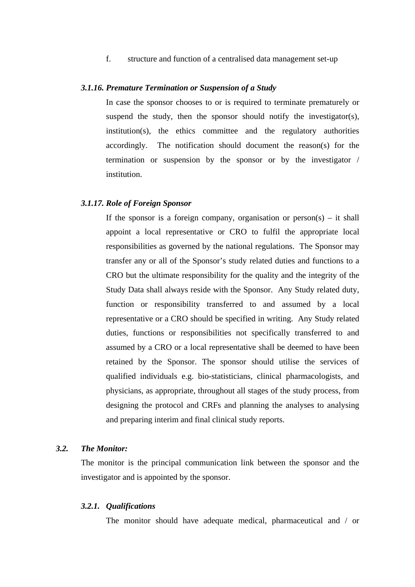f. structure and function of a centralised data management set-up

#### *3.1.16. Premature Termination or Suspension of a Study*

In case the sponsor chooses to or is required to terminate prematurely or suspend the study, then the sponsor should notify the investigator(s), institution(s), the ethics committee and the regulatory authorities accordingly. The notification should document the reason(s) for the termination or suspension by the sponsor or by the investigator / institution.

### *3.1.17. Role of Foreign Sponsor*

If the sponsor is a foreign company, organisation or  $person(s) - it$  shall appoint a local representative or CRO to fulfil the appropriate local responsibilities as governed by the national regulations. The Sponsor may transfer any or all of the Sponsor's study related duties and functions to a CRO but the ultimate responsibility for the quality and the integrity of the Study Data shall always reside with the Sponsor. Any Study related duty, function or responsibility transferred to and assumed by a local representative or a CRO should be specified in writing. Any Study related duties, functions or responsibilities not specifically transferred to and assumed by a CRO or a local representative shall be deemed to have been retained by the Sponsor. The sponsor should utilise the services of qualified individuals e.g. bio-statisticians, clinical pharmacologists, and physicians, as appropriate, throughout all stages of the study process, from designing the protocol and CRFs and planning the analyses to analysing and preparing interim and final clinical study reports.

### *3.2. The Monitor:*

The monitor is the principal communication link between the sponsor and the investigator and is appointed by the sponsor.

#### *3.2.1. Qualifications*

The monitor should have adequate medical, pharmaceutical and / or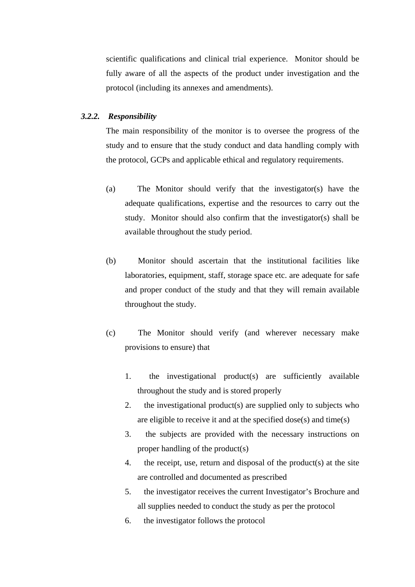scientific qualifications and clinical trial experience. Monitor should be fully aware of all the aspects of the product under investigation and the protocol (including its annexes and amendments).

### *3.2.2. Responsibility*

The main responsibility of the monitor is to oversee the progress of the study and to ensure that the study conduct and data handling comply with the protocol, GCPs and applicable ethical and regulatory requirements.

- (a) The Monitor should verify that the investigator(s) have the adequate qualifications, expertise and the resources to carry out the study. Monitor should also confirm that the investigator(s) shall be available throughout the study period.
- (b) Monitor should ascertain that the institutional facilities like laboratories, equipment, staff, storage space etc. are adequate for safe and proper conduct of the study and that they will remain available throughout the study.
- (c) The Monitor should verify (and wherever necessary make provisions to ensure) that
	- 1. the investigational product(s) are sufficiently available throughout the study and is stored properly
	- 2. the investigational product(s) are supplied only to subjects who are eligible to receive it and at the specified dose(s) and time(s)
	- 3. the subjects are provided with the necessary instructions on proper handling of the product(s)
	- 4. the receipt, use, return and disposal of the product(s) at the site are controlled and documented as prescribed
	- 5. the investigator receives the current Investigator's Brochure and all supplies needed to conduct the study as per the protocol
	- 6. the investigator follows the protocol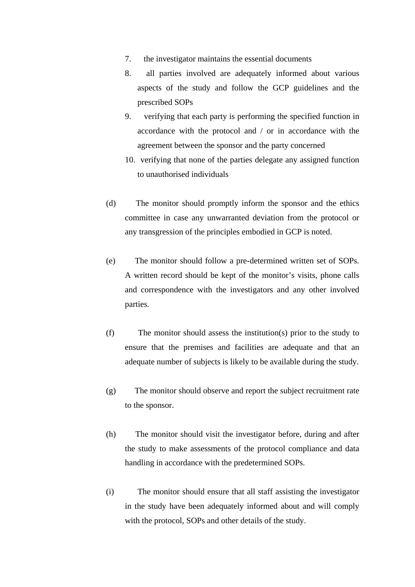- 7. the investigator maintains the essential documents
- 8. all parties involved are adequately informed about various aspects of the study and follow the GCP guidelines and the prescribed SOPs
- 9. verifying that each party is performing the specified function in accordance with the protocol and / or in accordance with the agreement between the sponsor and the party concerned
- 10. verifying that none of the parties delegate any assigned function to unauthorised individuals
- (d) The monitor should promptly inform the sponsor and the ethics committee in case any unwarranted deviation from the protocol or any transgression of the principles embodied in GCP is noted.
- (e) The monitor should follow a pre-determined written set of SOPs. A written record should be kept of the monitor's visits, phone calls and correspondence with the investigators and any other involved parties.
- (f) The monitor should assess the institution(s) prior to the study to ensure that the premises and facilities are adequate and that an adequate number of subjects is likely to be available during the study.
- (g) The monitor should observe and report the subject recruitment rate to the sponsor.
- (h) The monitor should visit the investigator before, during and after the study to make assessments of the protocol compliance and data handling in accordance with the predetermined SOPs.
- (i) The monitor should ensure that all staff assisting the investigator in the study have been adequately informed about and will comply with the protocol, SOPs and other details of the study.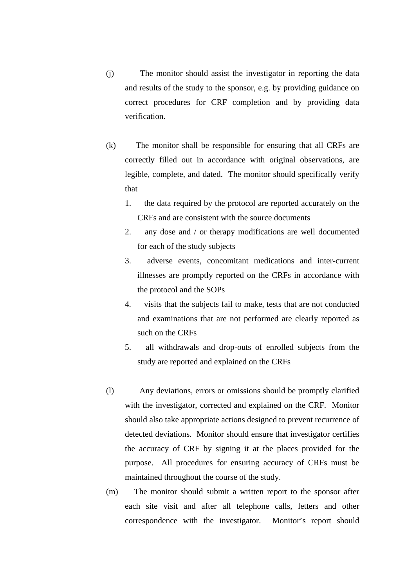- (j) The monitor should assist the investigator in reporting the data and results of the study to the sponsor, e.g. by providing guidance on correct procedures for CRF completion and by providing data verification.
- (k) The monitor shall be responsible for ensuring that all CRFs are correctly filled out in accordance with original observations, are legible, complete, and dated. The monitor should specifically verify that
	- 1. the data required by the protocol are reported accurately on the CRFs and are consistent with the source documents
	- 2. any dose and / or therapy modifications are well documented for each of the study subjects
	- 3. adverse events, concomitant medications and inter-current illnesses are promptly reported on the CRFs in accordance with the protocol and the SOPs
	- 4. visits that the subjects fail to make, tests that are not conducted and examinations that are not performed are clearly reported as such on the CRFs
	- 5. all withdrawals and drop-outs of enrolled subjects from the study are reported and explained on the CRFs
- (l) Any deviations, errors or omissions should be promptly clarified with the investigator, corrected and explained on the CRF. Monitor should also take appropriate actions designed to prevent recurrence of detected deviations. Monitor should ensure that investigator certifies the accuracy of CRF by signing it at the places provided for the purpose. All procedures for ensuring accuracy of CRFs must be maintained throughout the course of the study.
- (m) The monitor should submit a written report to the sponsor after each site visit and after all telephone calls, letters and other correspondence with the investigator. Monitor's report should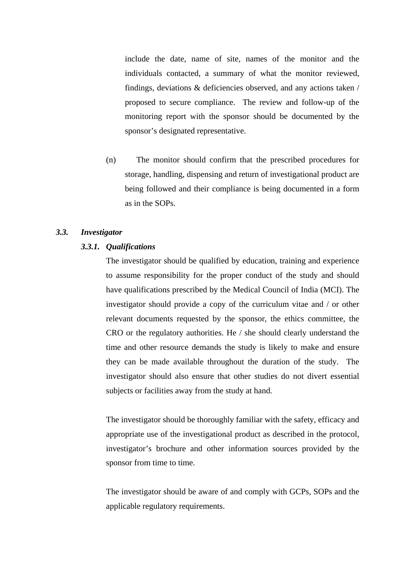include the date, name of site, names of the monitor and the individuals contacted, a summary of what the monitor reviewed, findings, deviations & deficiencies observed, and any actions taken / proposed to secure compliance. The review and follow-up of the monitoring report with the sponsor should be documented by the sponsor's designated representative.

(n) The monitor should confirm that the prescribed procedures for storage, handling, dispensing and return of investigational product are being followed and their compliance is being documented in a form as in the SOPs.

### *3.3. Investigator*

#### *3.3.1. Qualifications*

The investigator should be qualified by education, training and experience to assume responsibility for the proper conduct of the study and should have qualifications prescribed by the Medical Council of India (MCI). The investigator should provide a copy of the curriculum vitae and / or other relevant documents requested by the sponsor, the ethics committee, the CRO or the regulatory authorities. He / she should clearly understand the time and other resource demands the study is likely to make and ensure they can be made available throughout the duration of the study. The investigator should also ensure that other studies do not divert essential subjects or facilities away from the study at hand.

The investigator should be thoroughly familiar with the safety, efficacy and appropriate use of the investigational product as described in the protocol, investigator's brochure and other information sources provided by the sponsor from time to time.

The investigator should be aware of and comply with GCPs, SOPs and the applicable regulatory requirements.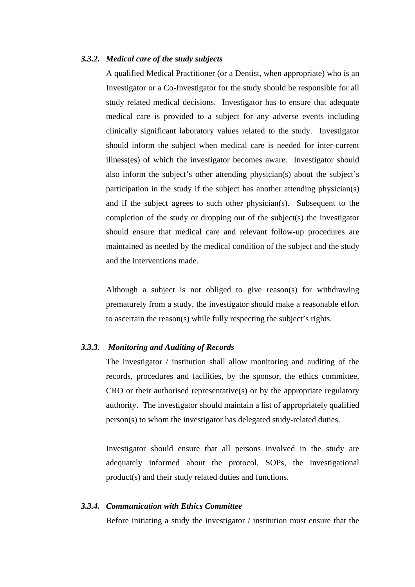# *3.3.2. Medical care of the study subjects*

 A qualified Medical Practitioner (or a Dentist, when appropriate) who is an Investigator or a Co-Investigator for the study should be responsible for all study related medical decisions. Investigator has to ensure that adequate medical care is provided to a subject for any adverse events including clinically significant laboratory values related to the study. Investigator should inform the subject when medical care is needed for inter-current illness(es) of which the investigator becomes aware. Investigator should also inform the subject's other attending physician(s) about the subject's participation in the study if the subject has another attending physician(s) and if the subject agrees to such other physician(s). Subsequent to the completion of the study or dropping out of the subject(s) the investigator should ensure that medical care and relevant follow-up procedures are maintained as needed by the medical condition of the subject and the study and the interventions made.

Although a subject is not obliged to give reason(s) for withdrawing prematurely from a study, the investigator should make a reasonable effort to ascertain the reason(s) while fully respecting the subject's rights.

### *3.3.3. Monitoring and Auditing of Records*

The investigator / institution shall allow monitoring and auditing of the records, procedures and facilities, by the sponsor, the ethics committee, CRO or their authorised representative(s) or by the appropriate regulatory authority. The investigator should maintain a list of appropriately qualified person(s) to whom the investigator has delegated study-related duties.

 Investigator should ensure that all persons involved in the study are adequately informed about the protocol, SOPs, the investigational product(s) and their study related duties and functions.

#### *3.3.4. Communication with Ethics Committee*

Before initiating a study the investigator / institution must ensure that the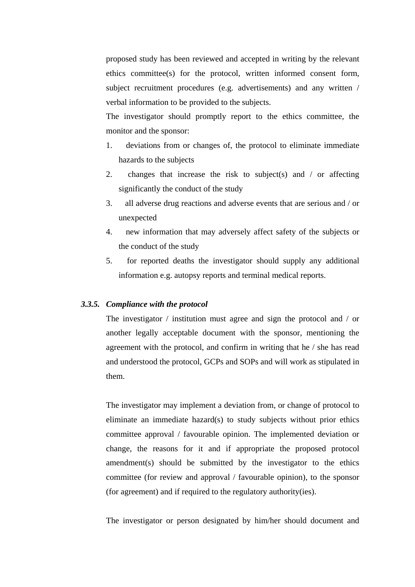proposed study has been reviewed and accepted in writing by the relevant ethics committee(s) for the protocol, written informed consent form, subject recruitment procedures (e.g. advertisements) and any written / verbal information to be provided to the subjects.

The investigator should promptly report to the ethics committee, the monitor and the sponsor:

- 1. deviations from or changes of, the protocol to eliminate immediate hazards to the subjects
- 2. changes that increase the risk to subject(s) and  $\ell$  or affecting significantly the conduct of the study
- 3. all adverse drug reactions and adverse events that are serious and / or unexpected
- 4. new information that may adversely affect safety of the subjects or the conduct of the study
- 5. for reported deaths the investigator should supply any additional information e.g. autopsy reports and terminal medical reports.

### *3.3.5. Compliance with the protocol*

The investigator / institution must agree and sign the protocol and / or another legally acceptable document with the sponsor, mentioning the agreement with the protocol, and confirm in writing that he / she has read and understood the protocol, GCPs and SOPs and will work as stipulated in them.

The investigator may implement a deviation from, or change of protocol to eliminate an immediate hazard(s) to study subjects without prior ethics committee approval / favourable opinion. The implemented deviation or change, the reasons for it and if appropriate the proposed protocol amendment(s) should be submitted by the investigator to the ethics committee (for review and approval / favourable opinion), to the sponsor (for agreement) and if required to the regulatory authority(ies).

The investigator or person designated by him/her should document and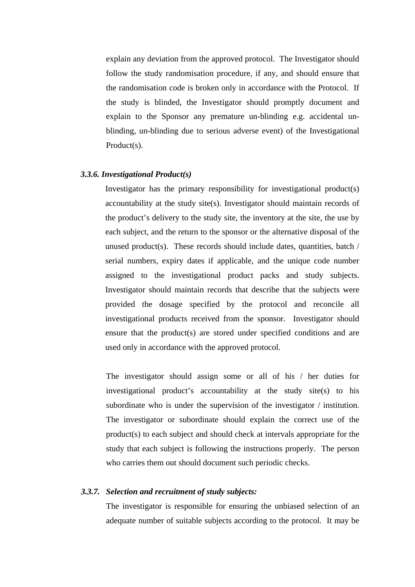explain any deviation from the approved protocol. The Investigator should follow the study randomisation procedure, if any, and should ensure that the randomisation code is broken only in accordance with the Protocol. If the study is blinded, the Investigator should promptly document and explain to the Sponsor any premature un-blinding e.g. accidental unblinding, un-blinding due to serious adverse event) of the Investigational Product(s).

#### *3.3.6. Investigational Product(s)*

Investigator has the primary responsibility for investigational product(s) accountability at the study site(s). Investigator should maintain records of the product's delivery to the study site, the inventory at the site, the use by each subject, and the return to the sponsor or the alternative disposal of the unused product(s). These records should include dates, quantities, batch / serial numbers, expiry dates if applicable, and the unique code number assigned to the investigational product packs and study subjects. Investigator should maintain records that describe that the subjects were provided the dosage specified by the protocol and reconcile all investigational products received from the sponsor. Investigator should ensure that the product(s) are stored under specified conditions and are used only in accordance with the approved protocol.

The investigator should assign some or all of his / her duties for investigational product's accountability at the study site(s) to his subordinate who is under the supervision of the investigator / institution. The investigator or subordinate should explain the correct use of the product(s) to each subject and should check at intervals appropriate for the study that each subject is following the instructions properly. The person who carries them out should document such periodic checks.

# *3.3.7. Selection and recruitment of study subjects:*

The investigator is responsible for ensuring the unbiased selection of an adequate number of suitable subjects according to the protocol. It may be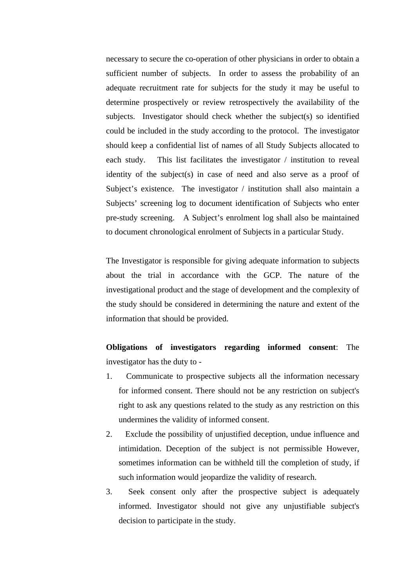necessary to secure the co-operation of other physicians in order to obtain a sufficient number of subjects. In order to assess the probability of an adequate recruitment rate for subjects for the study it may be useful to determine prospectively or review retrospectively the availability of the subjects. Investigator should check whether the subject(s) so identified could be included in the study according to the protocol. The investigator should keep a confidential list of names of all Study Subjects allocated to each study. This list facilitates the investigator / institution to reveal identity of the subject(s) in case of need and also serve as a proof of Subject's existence. The investigator / institution shall also maintain a Subjects' screening log to document identification of Subjects who enter pre-study screening. A Subject's enrolment log shall also be maintained to document chronological enrolment of Subjects in a particular Study.

The Investigator is responsible for giving adequate information to subjects about the trial in accordance with the GCP. The nature of the investigational product and the stage of development and the complexity of the study should be considered in determining the nature and extent of the information that should be provided.

**Obligations of investigators regarding informed consent**: The investigator has the duty to -

- 1. Communicate to prospective subjects all the information necessary for informed consent. There should not be any restriction on subject's right to ask any questions related to the study as any restriction on this undermines the validity of informed consent.
- 2. Exclude the possibility of unjustified deception, undue influence and intimidation. Deception of the subject is not permissible However, sometimes information can be withheld till the completion of study, if such information would jeopardize the validity of research.
- 3. Seek consent only after the prospective subject is adequately informed. Investigator should not give any unjustifiable subject's decision to participate in the study.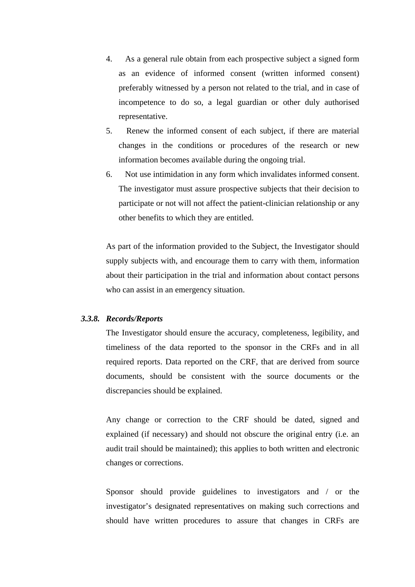- 4. As a general rule obtain from each prospective subject a signed form as an evidence of informed consent (written informed consent) preferably witnessed by a person not related to the trial, and in case of incompetence to do so, a legal guardian or other duly authorised representative.
- 5. Renew the informed consent of each subject, if there are material changes in the conditions or procedures of the research or new information becomes available during the ongoing trial.
- 6. Not use intimidation in any form which invalidates informed consent. The investigator must assure prospective subjects that their decision to participate or not will not affect the patient-clinician relationship or any other benefits to which they are entitled.

As part of the information provided to the Subject, the Investigator should supply subjects with, and encourage them to carry with them, information about their participation in the trial and information about contact persons who can assist in an emergency situation.

### *3.3.8. Records/Reports*

The Investigator should ensure the accuracy, completeness, legibility, and timeliness of the data reported to the sponsor in the CRFs and in all required reports. Data reported on the CRF, that are derived from source documents, should be consistent with the source documents or the discrepancies should be explained.

Any change or correction to the CRF should be dated, signed and explained (if necessary) and should not obscure the original entry (i.e. an audit trail should be maintained); this applies to both written and electronic changes or corrections.

Sponsor should provide guidelines to investigators and / or the investigator's designated representatives on making such corrections and should have written procedures to assure that changes in CRFs are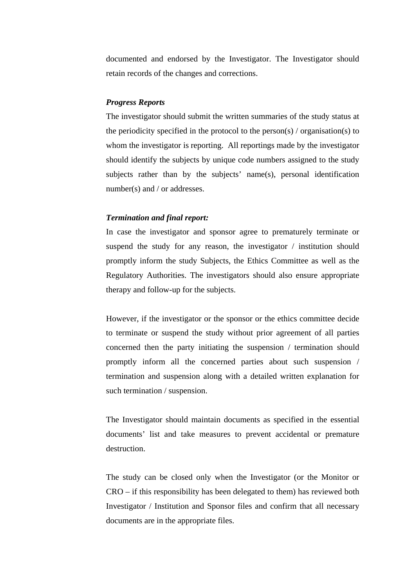documented and endorsed by the Investigator. The Investigator should retain records of the changes and corrections.

### *Progress Reports*

The investigator should submit the written summaries of the study status at the periodicity specified in the protocol to the person(s)  $\prime$  organisation(s) to whom the investigator is reporting. All reportings made by the investigator should identify the subjects by unique code numbers assigned to the study subjects rather than by the subjects' name(s), personal identification number(s) and / or addresses.

# *Termination and final report:*

In case the investigator and sponsor agree to prematurely terminate or suspend the study for any reason, the investigator / institution should promptly inform the study Subjects, the Ethics Committee as well as the Regulatory Authorities. The investigators should also ensure appropriate therapy and follow-up for the subjects.

However, if the investigator or the sponsor or the ethics committee decide to terminate or suspend the study without prior agreement of all parties concerned then the party initiating the suspension / termination should promptly inform all the concerned parties about such suspension / termination and suspension along with a detailed written explanation for such termination / suspension.

The Investigator should maintain documents as specified in the essential documents' list and take measures to prevent accidental or premature destruction.

The study can be closed only when the Investigator (or the Monitor or CRO – if this responsibility has been delegated to them) has reviewed both Investigator / Institution and Sponsor files and confirm that all necessary documents are in the appropriate files.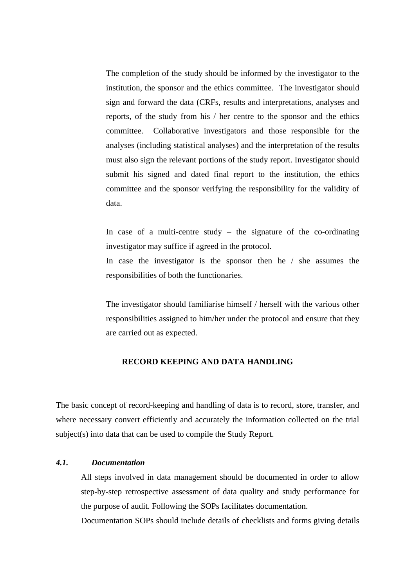The completion of the study should be informed by the investigator to the institution, the sponsor and the ethics committee. The investigator should sign and forward the data (CRFs, results and interpretations, analyses and reports, of the study from his / her centre to the sponsor and the ethics committee. Collaborative investigators and those responsible for the analyses (including statistical analyses) and the interpretation of the results must also sign the relevant portions of the study report. Investigator should submit his signed and dated final report to the institution, the ethics committee and the sponsor verifying the responsibility for the validity of data.

In case of a multi-centre study  $-$  the signature of the co-ordinating investigator may suffice if agreed in the protocol.

In case the investigator is the sponsor then he / she assumes the responsibilities of both the functionaries.

The investigator should familiarise himself / herself with the various other responsibilities assigned to him/her under the protocol and ensure that they are carried out as expected.

# **RECORD KEEPING AND DATA HANDLING**

The basic concept of record-keeping and handling of data is to record, store, transfer, and where necessary convert efficiently and accurately the information collected on the trial subject(s) into data that can be used to compile the Study Report.

# *4.1. Documentation*

All steps involved in data management should be documented in order to allow step-by-step retrospective assessment of data quality and study performance for the purpose of audit. Following the SOPs facilitates documentation.

Documentation SOPs should include details of checklists and forms giving details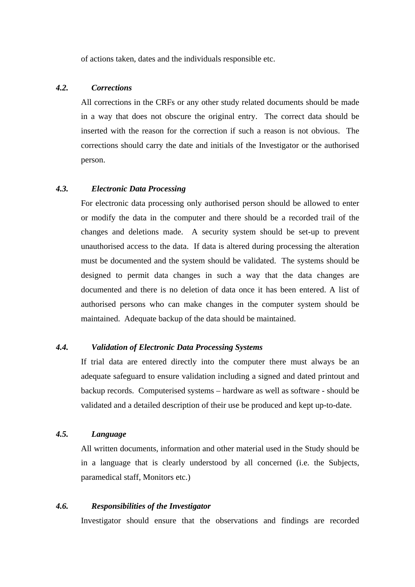of actions taken, dates and the individuals responsible etc.

# *4.2. Corrections*

All corrections in the CRFs or any other study related documents should be made in a way that does not obscure the original entry. The correct data should be inserted with the reason for the correction if such a reason is not obvious. The corrections should carry the date and initials of the Investigator or the authorised person.

# *4.3. Electronic Data Processing*

For electronic data processing only authorised person should be allowed to enter or modify the data in the computer and there should be a recorded trail of the changes and deletions made. A security system should be set-up to prevent unauthorised access to the data. If data is altered during processing the alteration must be documented and the system should be validated. The systems should be designed to permit data changes in such a way that the data changes are documented and there is no deletion of data once it has been entered. A list of authorised persons who can make changes in the computer system should be maintained. Adequate backup of the data should be maintained.

# *4.4. Validation of Electronic Data Processing Systems*

If trial data are entered directly into the computer there must always be an adequate safeguard to ensure validation including a signed and dated printout and backup records. Computerised systems – hardware as well as software - should be validated and a detailed description of their use be produced and kept up-to-date.

# *4.5. Language*

All written documents, information and other material used in the Study should be in a language that is clearly understood by all concerned (i.e. the Subjects, paramedical staff, Monitors etc.)

# *4.6. Responsibilities of the Investigator*

Investigator should ensure that the observations and findings are recorded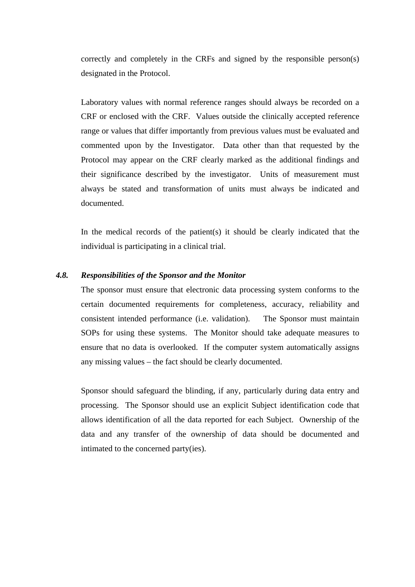correctly and completely in the CRFs and signed by the responsible person(s) designated in the Protocol.

Laboratory values with normal reference ranges should always be recorded on a CRF or enclosed with the CRF. Values outside the clinically accepted reference range or values that differ importantly from previous values must be evaluated and commented upon by the Investigator. Data other than that requested by the Protocol may appear on the CRF clearly marked as the additional findings and their significance described by the investigator. Units of measurement must always be stated and transformation of units must always be indicated and documented.

In the medical records of the patient(s) it should be clearly indicated that the individual is participating in a clinical trial.

### *4.8. Responsibilities of the Sponsor and the Monitor*

The sponsor must ensure that electronic data processing system conforms to the certain documented requirements for completeness, accuracy, reliability and consistent intended performance (i.e. validation). The Sponsor must maintain SOPs for using these systems. The Monitor should take adequate measures to ensure that no data is overlooked. If the computer system automatically assigns any missing values – the fact should be clearly documented.

Sponsor should safeguard the blinding, if any, particularly during data entry and processing. The Sponsor should use an explicit Subject identification code that allows identification of all the data reported for each Subject. Ownership of the data and any transfer of the ownership of data should be documented and intimated to the concerned party(ies).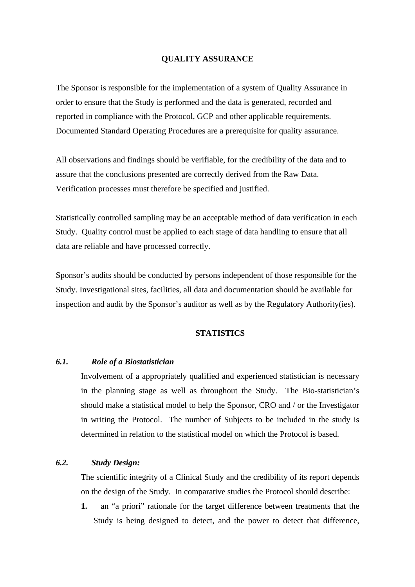## **QUALITY ASSURANCE**

The Sponsor is responsible for the implementation of a system of Quality Assurance in order to ensure that the Study is performed and the data is generated, recorded and reported in compliance with the Protocol, GCP and other applicable requirements. Documented Standard Operating Procedures are a prerequisite for quality assurance.

All observations and findings should be verifiable, for the credibility of the data and to assure that the conclusions presented are correctly derived from the Raw Data. Verification processes must therefore be specified and justified.

Statistically controlled sampling may be an acceptable method of data verification in each Study. Quality control must be applied to each stage of data handling to ensure that all data are reliable and have processed correctly.

Sponsor's audits should be conducted by persons independent of those responsible for the Study. Investigational sites, facilities, all data and documentation should be available for inspection and audit by the Sponsor's auditor as well as by the Regulatory Authority(ies).

# **STATISTICS**

# *6.1. Role of a Biostatistician*

Involvement of a appropriately qualified and experienced statistician is necessary in the planning stage as well as throughout the Study. The Bio-statistician's should make a statistical model to help the Sponsor, CRO and / or the Investigator in writing the Protocol. The number of Subjects to be included in the study is determined in relation to the statistical model on which the Protocol is based.

# *6.2. Study Design:*

The scientific integrity of a Clinical Study and the credibility of its report depends on the design of the Study. In comparative studies the Protocol should describe:

**1.** an "a priori" rationale for the target difference between treatments that the Study is being designed to detect, and the power to detect that difference,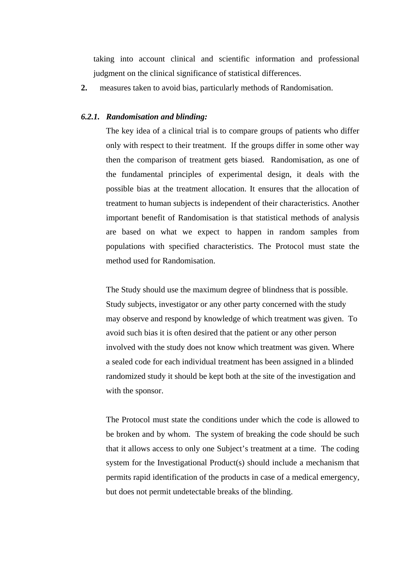taking into account clinical and scientific information and professional judgment on the clinical significance of statistical differences.

**2.** measures taken to avoid bias, particularly methods of Randomisation.

#### *6.2.1. Randomisation and blinding:*

The key idea of a clinical trial is to compare groups of patients who differ only with respect to their treatment. If the groups differ in some other way then the comparison of treatment gets biased. Randomisation, as one of the fundamental principles of experimental design, it deals with the possible bias at the treatment allocation. It ensures that the allocation of treatment to human subjects is independent of their characteristics. Another important benefit of Randomisation is that statistical methods of analysis are based on what we expect to happen in random samples from populations with specified characteristics. The Protocol must state the method used for Randomisation.

The Study should use the maximum degree of blindness that is possible. Study subjects, investigator or any other party concerned with the study may observe and respond by knowledge of which treatment was given. To avoid such bias it is often desired that the patient or any other person involved with the study does not know which treatment was given. Where a sealed code for each individual treatment has been assigned in a blinded randomized study it should be kept both at the site of the investigation and with the sponsor.

The Protocol must state the conditions under which the code is allowed to be broken and by whom. The system of breaking the code should be such that it allows access to only one Subject's treatment at a time. The coding system for the Investigational Product(s) should include a mechanism that permits rapid identification of the products in case of a medical emergency, but does not permit undetectable breaks of the blinding.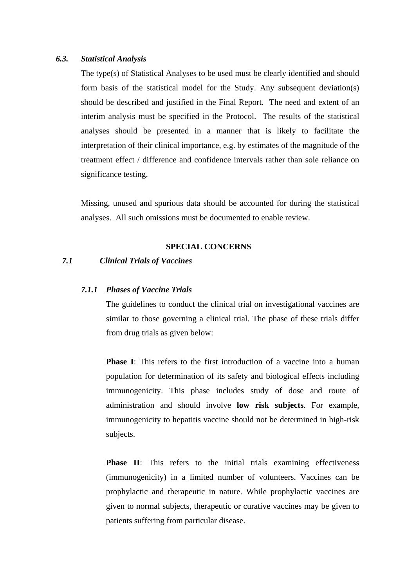### *6.3. Statistical Analysis*

The type(s) of Statistical Analyses to be used must be clearly identified and should form basis of the statistical model for the Study. Any subsequent deviation(s) should be described and justified in the Final Report. The need and extent of an interim analysis must be specified in the Protocol. The results of the statistical analyses should be presented in a manner that is likely to facilitate the interpretation of their clinical importance, e.g. by estimates of the magnitude of the treatment effect / difference and confidence intervals rather than sole reliance on significance testing.

Missing, unused and spurious data should be accounted for during the statistical analyses. All such omissions must be documented to enable review.

### **SPECIAL CONCERNS**

## *7.1 Clinical Trials of Vaccines*

#### *7.1.1 Phases of Vaccine Trials*

The guidelines to conduct the clinical trial on investigational vaccines are similar to those governing a clinical trial. The phase of these trials differ from drug trials as given below:

**Phase I**: This refers to the first introduction of a vaccine into a human population for determination of its safety and biological effects including immunogenicity. This phase includes study of dose and route of administration and should involve **low risk subjects**. For example, immunogenicity to hepatitis vaccine should not be determined in high-risk subjects.

**Phase II:** This refers to the initial trials examining effectiveness (immunogenicity) in a limited number of volunteers. Vaccines can be prophylactic and therapeutic in nature. While prophylactic vaccines are given to normal subjects, therapeutic or curative vaccines may be given to patients suffering from particular disease.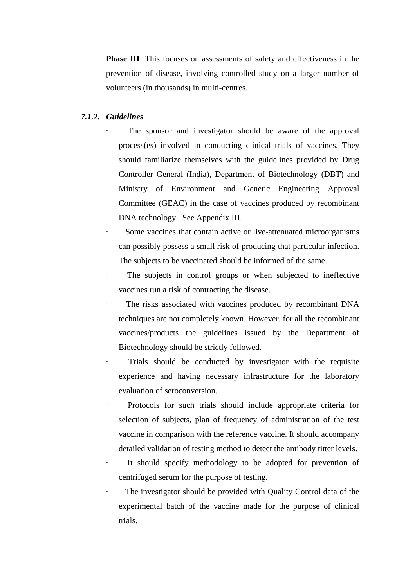**Phase III**: This focuses on assessments of safety and effectiveness in the prevention of disease, involving controlled study on a larger number of volunteers (in thousands) in multi-centres.

#### *7.1.2. Guidelines*

The sponsor and investigator should be aware of the approval process(es) involved in conducting clinical trials of vaccines. They should familiarize themselves with the guidelines provided by Drug Controller General (India), Department of Biotechnology (DBT) and Ministry of Environment and Genetic Engineering Approval Committee (GEAC) in the case of vaccines produced by recombinant DNA technology. See Appendix III.

Some vaccines that contain active or live-attenuated microorganisms can possibly possess a small risk of producing that particular infection. The subjects to be vaccinated should be informed of the same.

The subjects in control groups or when subjected to ineffective vaccines run a risk of contracting the disease.

The risks associated with vaccines produced by recombinant DNA techniques are not completely known. However, for all the recombinant vaccines/products the guidelines issued by the Department of Biotechnology should be strictly followed.

Trials should be conducted by investigator with the requisite experience and having necessary infrastructure for the laboratory evaluation of seroconversion.

Protocols for such trials should include appropriate criteria for selection of subjects, plan of frequency of administration of the test vaccine in comparison with the reference vaccine. It should accompany detailed validation of testing method to detect the antibody titter levels.

It should specify methodology to be adopted for prevention of centrifuged serum for the purpose of testing.

The investigator should be provided with Quality Control data of the experimental batch of the vaccine made for the purpose of clinical trials.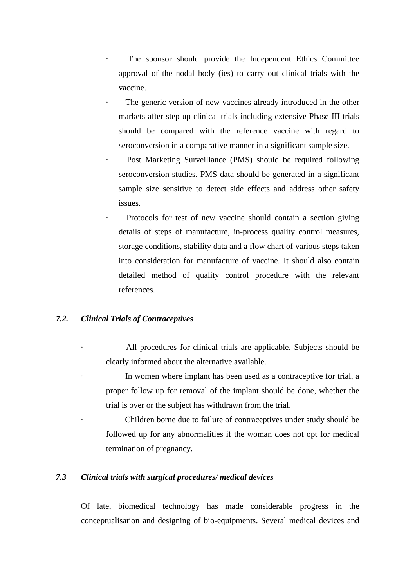- The sponsor should provide the Independent Ethics Committee approval of the nodal body (ies) to carry out clinical trials with the vaccine.
- The generic version of new vaccines already introduced in the other markets after step up clinical trials including extensive Phase III trials should be compared with the reference vaccine with regard to seroconversion in a comparative manner in a significant sample size.
- Post Marketing Surveillance (PMS) should be required following seroconversion studies. PMS data should be generated in a significant sample size sensitive to detect side effects and address other safety issues.
- Protocols for test of new vaccine should contain a section giving details of steps of manufacture, in-process quality control measures, storage conditions, stability data and a flow chart of various steps taken into consideration for manufacture of vaccine. It should also contain detailed method of quality control procedure with the relevant references.

# *7.2. Clinical Trials of Contraceptives*

- All procedures for clinical trials are applicable. Subjects should be clearly informed about the alternative available.
- In women where implant has been used as a contraceptive for trial, a proper follow up for removal of the implant should be done, whether the trial is over or the subject has withdrawn from the trial.
- Children borne due to failure of contraceptives under study should be followed up for any abnormalities if the woman does not opt for medical termination of pregnancy.

# *7.3 Clinical trials with surgical procedures/ medical devices*

 Of late, biomedical technology has made considerable progress in the conceptualisation and designing of bio-equipments. Several medical devices and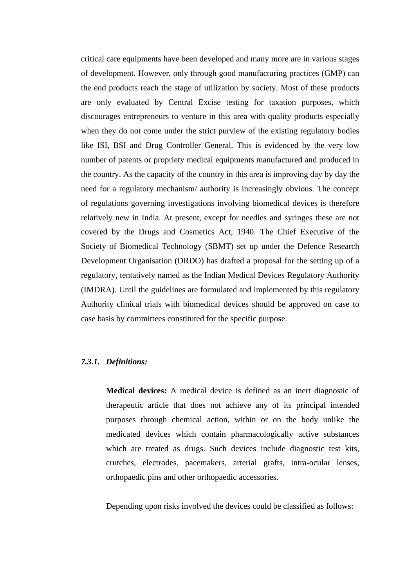critical care equipments have been developed and many more are in various stages of development. However, only through good manufacturing practices (GMP) can the end products reach the stage of utilization by society. Most of these products are only evaluated by Central Excise testing for taxation purposes, which discourages entrepreneurs to venture in this area with quality products especially when they do not come under the strict purview of the existing regulatory bodies like ISI, BSI and Drug Controller General. This is evidenced by the very low number of patents or propriety medical equipments manufactured and produced in the country. As the capacity of the country in this area is improving day by day the need for a regulatory mechanism/ authority is increasingly obvious. The concept of regulations governing investigations involving biomedical devices is therefore relatively new in India. At present, except for needles and syringes these are not covered by the Drugs and Cosmetics Act, 1940. The Chief Executive of the Society of Biomedical Technology (SBMT) set up under the Defence Research Development Organisation (DRDO) has drafted a proposal for the setting up of a regulatory, tentatively named as the Indian Medical Devices Regulatory Authority (IMDRA). Until the guidelines are formulated and implemented by this regulatory Authority clinical trials with biomedical devices should be approved on case to case basis by committees constituted for the specific purpose.

# *7.3.1. Definitions:*

**Medical devices:** A medical device is defined as an inert diagnostic of therapeutic article that does not achieve any of its principal intended purposes through chemical action, within or on the body unlike the medicated devices which contain pharmacologically active substances which are treated as drugs. Such devices include diagnostic test kits, crutches, electrodes, pacemakers, arterial grafts, intra-ocular lenses, orthopaedic pins and other orthopaedic accessories.

Depending upon risks involved the devices could be classified as follows: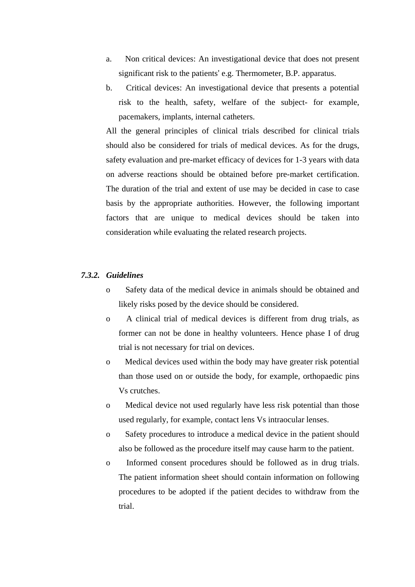- a. Non critical devices: An investigational device that does not present significant risk to the patients' e.g. Thermometer, B.P. apparatus.
- b. Critical devices: An investigational device that presents a potential risk to the health, safety, welfare of the subject- for example, pacemakers, implants, internal catheters.

All the general principles of clinical trials described for clinical trials should also be considered for trials of medical devices. As for the drugs, safety evaluation and pre-market efficacy of devices for 1-3 years with data on adverse reactions should be obtained before pre-market certification. The duration of the trial and extent of use may be decided in case to case basis by the appropriate authorities. However, the following important factors that are unique to medical devices should be taken into consideration while evaluating the related research projects.

## *7.3.2. Guidelines*

- o Safety data of the medical device in animals should be obtained and likely risks posed by the device should be considered.
- o A clinical trial of medical devices is different from drug trials, as former can not be done in healthy volunteers. Hence phase I of drug trial is not necessary for trial on devices.
- o Medical devices used within the body may have greater risk potential than those used on or outside the body, for example, orthopaedic pins Vs crutches.
- o Medical device not used regularly have less risk potential than those used regularly, for example, contact lens Vs intraocular lenses.
- o Safety procedures to introduce a medical device in the patient should also be followed as the procedure itself may cause harm to the patient.
- o Informed consent procedures should be followed as in drug trials. The patient information sheet should contain information on following procedures to be adopted if the patient decides to withdraw from the trial.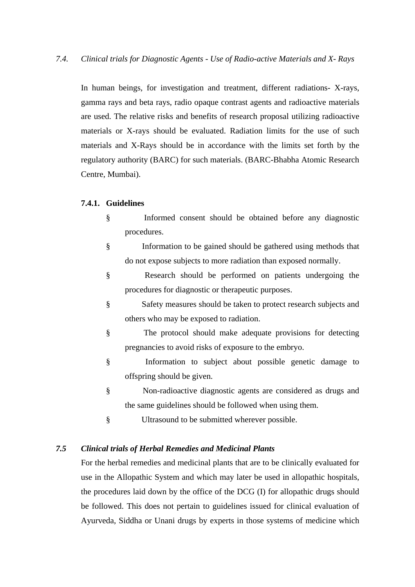In human beings, for investigation and treatment, different radiations- X-rays, gamma rays and beta rays, radio opaque contrast agents and radioactive materials are used. The relative risks and benefits of research proposal utilizing radioactive materials or X-rays should be evaluated. Radiation limits for the use of such materials and X-Rays should be in accordance with the limits set forth by the regulatory authority (BARC) for such materials. (BARC-Bhabha Atomic Research Centre, Mumbai).

## **7.4.1. Guidelines**

- § Informed consent should be obtained before any diagnostic procedures.
- § Information to be gained should be gathered using methods that do not expose subjects to more radiation than exposed normally.
- § Research should be performed on patients undergoing the procedures for diagnostic or therapeutic purposes.
- § Safety measures should be taken to protect research subjects and others who may be exposed to radiation.
- § The protocol should make adequate provisions for detecting pregnancies to avoid risks of exposure to the embryo.
- § Information to subject about possible genetic damage to offspring should be given.
- § Non-radioactive diagnostic agents are considered as drugs and the same guidelines should be followed when using them.
- § Ultrasound to be submitted wherever possible.

## *7.5 Clinical trials of Herbal Remedies and Medicinal Plants*

For the herbal remedies and medicinal plants that are to be clinically evaluated for use in the Allopathic System and which may later be used in allopathic hospitals, the procedures laid down by the office of the DCG (I) for allopathic drugs should be followed. This does not pertain to guidelines issued for clinical evaluation of Ayurveda, Siddha or Unani drugs by experts in those systems of medicine which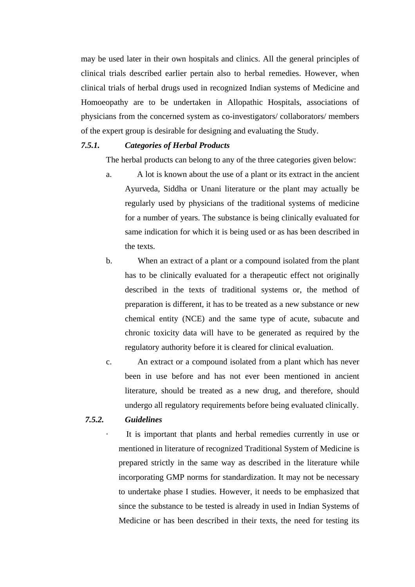may be used later in their own hospitals and clinics. All the general principles of clinical trials described earlier pertain also to herbal remedies. However, when clinical trials of herbal drugs used in recognized Indian systems of Medicine and Homoeopathy are to be undertaken in Allopathic Hospitals, associations of physicians from the concerned system as co-investigators/ collaborators/ members of the expert group is desirable for designing and evaluating the Study.

#### *7.5.1. Categories of Herbal Products*

The herbal products can belong to any of the three categories given below:

- a. A lot is known about the use of a plant or its extract in the ancient Ayurveda, Siddha or Unani literature or the plant may actually be regularly used by physicians of the traditional systems of medicine for a number of years. The substance is being clinically evaluated for same indication for which it is being used or as has been described in the texts.
- b. When an extract of a plant or a compound isolated from the plant has to be clinically evaluated for a therapeutic effect not originally described in the texts of traditional systems or, the method of preparation is different, it has to be treated as a new substance or new chemical entity (NCE) and the same type of acute, subacute and chronic toxicity data will have to be generated as required by the regulatory authority before it is cleared for clinical evaluation.
- c. An extract or a compound isolated from a plant which has never been in use before and has not ever been mentioned in ancient literature, should be treated as a new drug, and therefore, should undergo all regulatory requirements before being evaluated clinically.

# *7.5.2. Guidelines*

It is important that plants and herbal remedies currently in use or mentioned in literature of recognized Traditional System of Medicine is prepared strictly in the same way as described in the literature while incorporating GMP norms for standardization. It may not be necessary to undertake phase I studies. However, it needs to be emphasized that since the substance to be tested is already in used in Indian Systems of Medicine or has been described in their texts, the need for testing its